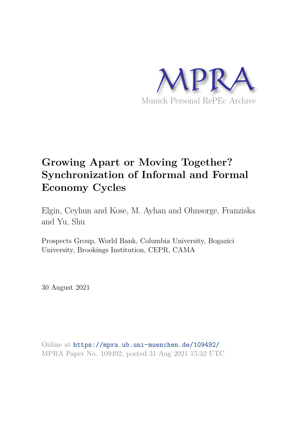

# **Growing Apart or Moving Together? Synchronization of Informal and Formal Economy Cycles**

Elgin, Ceyhun and Kose, M. Ayhan and Ohnsorge, Franziska and Yu, Shu

Prospects Group, World Bank, Columbia University, Bogazici University, Brookings Institution, CEPR, CAMA

30 August 2021

Online at https://mpra.ub.uni-muenchen.de/109492/ MPRA Paper No. 109492, posted 31 Aug 2021 15:32 UTC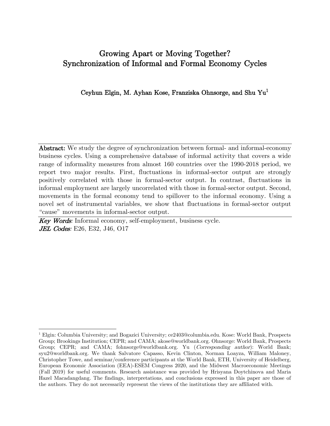# Growing Apart or Moving Together? Synchronization of Informal and Formal Economy Cycles

### Ceyhun Elgin, M. Ayhan Kose, Franziska Ohnsorge, and Shu Yu<sup>1</sup>

Abstract: We study the degree of synchronization between formal- and informal-economy business cycles. Using a comprehensive database of informal activity that covers a wide range of informality measures from almost 160 countries over the 1990-2018 period, we report two major results. First, fluctuations in informal-sector output are strongly positively correlated with those in formal-sector output. In contrast, fluctuations in informal employment are largely uncorrelated with those in formal-sector output. Second, movements in the formal economy tend to spillover to the informal economy. Using a novel set of instrumental variables, we show that fluctuations in formal-sector output "cause" movements in informal-sector output.

Key Words: Informal economy, self-employment, business cycle. **JEL Codes**: E26, E32, J46, O17

<sup>1</sup> Elgin: Columbia University; and Bogazici University; ce2403@columbia.edu. Kose: World Bank, Prospects Group; Brookings Institution; CEPR; and CAMA; akose@worldbank.org. Ohnsorge: World Bank, Prospects Group; CEPR; and CAMA; fohnsorge@worldbank.org. Yu (*Corresponding author*): World Bank; syu2@worldbank.org. We thank Salvatore Capasso, Kevin Clinton, Norman Loayza, William Maloney, Christopher Towe, and seminar/conference participants at the World Bank, ETH, University of Heidelberg, European Economic Association (EEA)-ESEM Congress 2020, and the Midwest Macroeconomic Meetings (Fall 2019) for useful comments. Research assistance was provided by Hrisyana Doytchinova and Maria Hazel Macadangdang. The findings, interpretations, and conclusions expressed in this paper are those of the authors. They do not necessarily represent the views of the institutions they are affiliated with.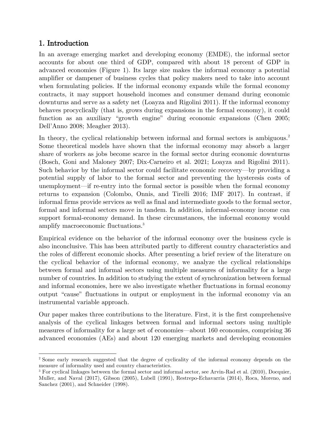# 1. Introduction

In an average emerging market and developing economy (EMDE), the informal sector accounts for about one third of GDP, compared with about 18 percent of GDP in advanced economies (Figure 1). Its large size makes the informal economy a potential amplifier or dampener of business cycles that policy makers need to take into account when formulating policies. If the informal economy expands while the formal economy contracts, it may support household incomes and consumer demand during economic downturns and serve as a safety net (Loayza and Rigolini 2011). If the informal economy behaves procyclically (that is, grows during expansions in the formal economy), it could function as an auxiliary "growth engine" during economic expansions (Chen 2005; Dell'Anno 2008; Meagher 2013).

In theory, the cyclical relationship between informal and formal sectors is ambiguous.<sup>2</sup> Some theoretical models have shown that the informal economy may absorb a larger share of workers as jobs become scarce in the formal sector during economic downturns (Bosch, Goni and Maloney 2007; Dix-Carneiro et al. 2021; Loayza and Rigolini 2011). Such behavior by the informal sector could facilitate economic recovery—by providing a potential supply of labor to the formal sector and preventing the hysteresis costs of unemployment—if re-entry into the formal sector is possible when the formal economy returns to expansion (Colombo, Onnis, and Tirelli 2016; IMF 2017). In contrast, if informal firms provide services as well as final and intermediate goods to the formal sector, formal and informal sectors move in tandem. In addition, informal-economy income can support formal-economy demand. In these circumstances, the informal economy would amplify macroeconomic fluctuations.<sup>3</sup>

Empirical evidence on the behavior of the informal economy over the business cycle is also inconclusive. This has been attributed partly to different country characteristics and the roles of different economic shocks. After presenting a brief review of the literature on the cyclical behavior of the informal economy, we analyze the cyclical relationships between formal and informal sectors using multiple measures of informality for a large number of countries. In addition to studying the extent of synchronization between formal and informal economies, here we also investigate whether fluctuations in formal economy output "cause" fluctuations in output or employment in the informal economy via an instrumental variable approach.

Our paper makes three contributions to the literature. First, it is the first comprehensive analysis of the cyclical linkages between formal and informal sectors using multiple measures of informality for a large set of economies—about 160 economies, comprising 36 advanced economies (AEs) and about 120 emerging markets and developing economies

<sup>2</sup> Some early research suggested that the degree of cyclicality of the informal economy depends on the measure of informality used and country characteristics.

<sup>&</sup>lt;sup>3</sup> For cyclical linkages between the formal sector and informal sector, see Arvin-Rad et al. (2010), Docquier, Muller, and Naval (2017), Gibson (2005), Lubell (1991), Restrepo-Echavarria (2014), Roca, Moreno, and Sanchez (2001), and Schneider (1998).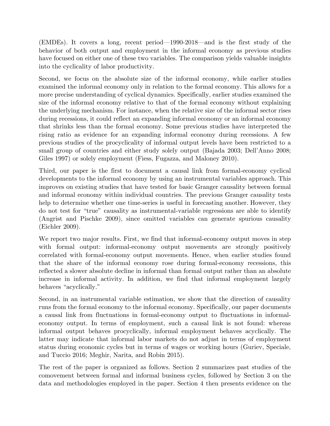(EMDEs). It covers a long, recent period—1990-2018—and is the first study of the behavior of both output and employment in the informal economy as previous studies have focused on either one of these two variables. The comparison yields valuable insights into the cyclicality of labor productivity.

Second, we focus on the absolute size of the informal economy, while earlier studies examined the informal economy only in relation to the formal economy. This allows for a more precise understanding of cyclical dynamics. Specifically, earlier studies examined the size of the informal economy relative to that of the formal economy without explaining the underlying mechanism. For instance, when the relative size of the informal sector rises during recessions, it could reflect an expanding informal economy or an informal economy that shrinks less than the formal economy. Some previous studies have interpreted the rising ratio as evidence for an expanding informal economy during recessions. A few previous studies of the procyclicality of informal output levels have been restricted to a small group of countries and either study solely output (Bajada 2003; Dell'Anno 2008; Giles 1997) or solely employment (Fiess, Fugazza, and Maloney 2010).

Third, our paper is the first to document a causal link from formal-economy cyclical developments to the informal economy by using an instrumental variables approach. This improves on existing studies that have tested for basic Granger causality between formal and informal economy within individual countries. The previous Granger causality tests help to determine whether one time-series is useful in forecasting another. However, they do not test for "true" causality as instrumental-variable regressions are able to identify (Angrist and Pischke 2009), since omitted variables can generate spurious causality (Eichler 2009).

We report two major results. First, we find that informal-economy output moves in step with formal output: informal-economy output movements are strongly positively correlated with formal-economy output movements. Hence, when earlier studies found that the share of the informal economy rose during formal-economy recessions, this reflected a slower absolute decline in informal than formal output rather than an absolute increase in informal activity. In addition, we find that informal employment largely behaves "acyclically."

Second, in an instrumental variable estimation, we show that the direction of causality runs from the formal economy to the informal economy. Specifically, our paper documents a causal link from fluctuations in formal-economy output to fluctuations in informaleconomy output. In terms of employment, such a causal link is not found: whereas informal output behaves procyclically, informal employment behaves acyclically. The latter may indicate that informal labor markets do not adjust in terms of employment status during economic cycles but in terms of wages or working hours (Guriev, Speciale, and Tuccio 2016; Meghir, Narita, and Robin 2015).

The rest of the paper is organized as follows. Section 2 summarizes past studies of the comovement between formal and informal business cycles, followed by Section 3 on the data and methodologies employed in the paper. Section 4 then presents evidence on the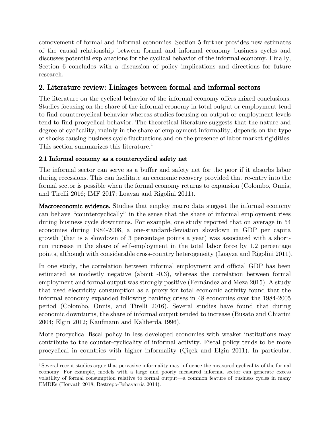comovement of formal and informal economies. Section 5 further provides new estimates of the causal relationship between formal and informal economy business cycles and discusses potential explanations for the cyclical behavior of the informal economy. Finally, Section 6 concludes with a discussion of policy implications and directions for future research.

# 2. Literature review: Linkages between formal and informal sectors

The literature on the cyclical behavior of the informal economy offers mixed conclusions. Studies focusing on the share of the informal economy in total output or employment tend to find countercyclical behavior whereas studies focusing on output or employment levels tend to find procyclical behavior. The theoretical literature suggests that the nature and degree of cyclicality, mainly in the share of employment informality, depends on the type of shocks causing business cycle fluctuations and on the presence of labor market rigidities. This section summarizes this literature.<sup>4</sup>

# 2.1 Informal economy as a countercyclical safety net

The informal sector can serve as a buffer and safety net for the poor if it absorbs labor during recessions. This can facilitate an economic recovery provided that re-entry into the formal sector is possible when the formal economy returns to expansion (Colombo, Onnis, and Tirelli 2016; IMF 2017; Loayza and Rigolini 2011).

Macroeconomic evidence. Studies that employ macro data suggest the informal economy can behave "countercyclically" in the sense that the share of informal employment rises during business cycle downturns. For example, one study reported that on average in 54 economies during 1984-2008, a one-standard-deviation slowdown in GDP per capita growth (that is a slowdown of 3 percentage points a year) was associated with a shortrun increase in the share of self-employment in the total labor force by 1.2 percentage points, although with considerable cross-country heterogeneity (Loayza and Rigolini 2011).

In one study, the correlation between informal employment and official GDP has been estimated as modestly negative (about -0.3), whereas the correlation between formal employment and formal output was strongly positive (Fernández and Meza 2015). A study that used electricity consumption as a proxy for total economic activity found that the informal economy expanded following banking crises in 48 economies over the 1984-2005 period (Colombo, Onnis, and Tirelli 2016). Several studies have found that during economic downturns, the share of informal output tended to increase (Busato and Chiarini 2004; Elgin 2012; Kaufmann and Kaliberda 1996).

More procyclical fiscal policy in less developed economies with weaker institutions may contribute to the counter-cyclicality of informal activity. Fiscal policy tends to be more procyclical in countries with higher informality (Çiçek and Elgin 2011). In particular,

<sup>4</sup>Several recent studies argue that pervasive informality may influence the measured cyclicality of the formal economy. For example, models with a large and poorly measured informal sector can generate excess volatility of formal consumption relative to formal output—a common feature of business cycles in many EMDEs (Horvath 2018; Restrepo-Echavarria 2014).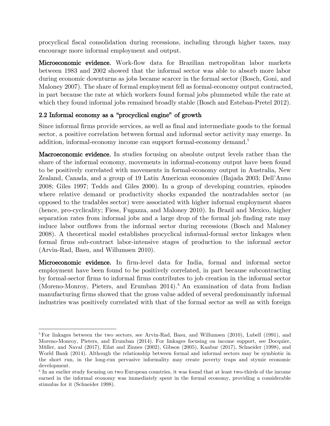procyclical fiscal consolidation during recessions, including through higher taxes, may encourage more informal employment and output.

Microeconomic evidence. Work-flow data for Brazilian metropolitan labor markets between 1983 and 2002 showed that the informal sector was able to absorb more labor during economic downturns as jobs became scarcer in the formal sector (Bosch, Goni, and Maloney 2007). The share of formal employment fell as formal-economy output contracted, in part because the rate at which workers found formal jobs plummeted while the rate at which they found informal jobs remained broadly stable (Bosch and Esteban-Pretel 2012).

# 2.2 Informal economy as a "procyclical engine" of growth

Since informal firms provide services, as well as final and intermediate goods to the formal sector, a positive correlation between formal and informal sector activity may emerge. In addition, informal-economy income can support formal-economy demand.<sup>5</sup>

Macroeconomic evidence. In studies focusing on absolute output levels rather than the share of the informal economy, movements in informal-economy output have been found to be positively correlated with movements in formal-economy output in Australia, New Zealand, Canada, and a group of 19 Latin American economies (Bajada 2003; Dell'Anno 2008; Giles 1997; Tedds and Giles 2000). In a group of developing countries, episodes where relative demand or productivity shocks expanded the nontradables sector (as opposed to the tradables sector) were associated with higher informal employment shares (hence, pro-cyclicality; Fiess, Fugazza, and Maloney 2010). In Brazil and Mexico, higher separation rates from informal jobs and a large drop of the formal job finding rate may induce labor outflows from the informal sector during recessions (Bosch and Maloney 2008). A theoretical model establishes procyclical informal-formal sector linkages when formal firms sub-contract labor-intensive stages of production to the informal sector (Arvin-Rad, Basu, and Willumsen 2010).

Microeconomic evidence. In firm-level data for India, formal and informal sector employment have been found to be positively correlated, in part because subcontracting by formal-sector firms to informal firms contributes to job creation in the informal sector (Moreno-Monroy, Pieters, and Erumban 2014).<sup>6</sup> An examination of data from Indian manufacturing firms showed that the gross value added of several predominantly informal industries was positively correlated with that of the formal sector as well as with foreign

<sup>&</sup>lt;sup>5</sup> For linkages between the two sectors, see Arvin-Rad, Basu, and Willumsen  $(2010)$ , Lubell  $(1991)$ , and Moreno-Monroy, Pieters, and Erumban (2014). For linkages focusing on income support, see Docquier, Müller, and Naval (2017), Eilat and Zinnes (2002), Gibson (2005), Kanbur (2017), Schneider (1998), and World Bank (2014). Although the relationship between formal and informal sectors may be symbiotic in the short run, in the long-run pervasive informality may create poverty traps and stymie economic development.

<sup>&</sup>lt;sup>6</sup> In an earlier study focusing on two European countries, it was found that at least two-thirds of the income earned in the informal economy was immediately spent in the formal economy, providing a considerable stimulus for it (Schneider 1998).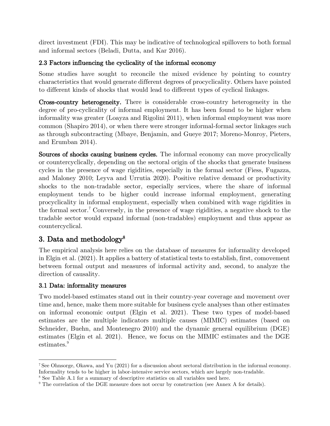direct investment (FDI). This may be indicative of technological spillovers to both formal and informal sectors (Beladi, Dutta, and Kar 2016).

# 2.3 Factors influencing the cyclicality of the informal economy

Some studies have sought to reconcile the mixed evidence by pointing to country characteristics that would generate different degrees of procyclicality. Others have pointed to different kinds of shocks that would lead to different types of cyclical linkages.

Cross-country heterogeneity. There is considerable cross-country heterogeneity in the degree of pro-cyclicality of informal employment. It has been found to be higher when informality was greater (Loayza and Rigolini 2011), when informal employment was more common (Shapiro 2014), or when there were stronger informal-formal sector linkages such as through subcontracting (Mbaye, Benjamin, and Gueye 2017; Moreno-Monroy, Pieters, and Erumban 2014).

Sources of shocks causing business cycles. The informal economy can move procyclically or countercyclically, depending on the sectoral origin of the shocks that generate business cycles in the presence of wage rigidities, especially in the formal sector (Fiess, Fugazza, and Maloney 2010; Leyva and Urrutia 2020). Positive relative demand or productivity shocks to the non-tradable sector, especially services, where the share of informal employment tends to be higher could increase informal employment, generating procyclicality in informal employment, especially when combined with wage rigidities in the formal sector.<sup>7</sup> Conversely, in the presence of wage rigidities, a negative shock to the tradable sector would expand informal (non-tradables) employment and thus appear as countercyclical.

# 3. Data and methodology 8

The empirical analysis here relies on the database of measures for informality developed in Elgin et al. (2021). It applies a battery of statistical tests to establish, first, comovement between formal output and measures of informal activity and, second, to analyze the direction of causality.

## 3.1 Data: informality measures

Two model-based estimates stand out in their country-year coverage and movement over time and, hence, make them more suitable for business cycle analyses than other estimates on informal economic output (Elgin et al. 2021). These two types of model-based estimates are the multiple indicators multiple causes (MIMIC) estimates (based on Schneider, Buehn, and Montenegro 2010) and the dynamic general equilibrium (DGE) estimates (Elgin et al. 2021). Hence, we focus on the MIMIC estimates and the DGE estimates.<sup>9</sup>

<sup>7</sup>See Ohnsorge, Okawa, and Yu (2021) for a discussion about sectoral distribution in the informal economy. Informality tends to be higher in labor-intensive service sectors, which are largely non-tradable.

<sup>8</sup> See Table A.1 for a summary of descriptive statistics on all variables used here.

<sup>&</sup>lt;sup>9</sup> The correlation of the DGE measure does not occur by construction (see Annex A for details).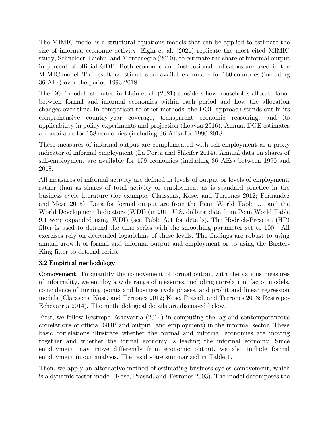The MIMIC model is a structural equations models that can be applied to estimate the size of informal economic activity. Elgin et al. (2021) replicate the most cited MIMIC study, Schneider, Buehn, and Montenegro (2010), to estimate the share of informal output in percent of official GDP. Both economic and institutional indicators are used in the MIMIC model. The resulting estimates are available annually for 160 countries (including 36 AEs) over the period 1993-2018.

The DGE model estimated in Elgin et al. (2021) considers how households allocate labor between formal and informal economies within each period and how the allocation changes over time. In comparison to other methods, the DGE approach stands out in its comprehensive country-year coverage, transparent economic reasoning, and its applicability in policy experiments and projection (Loayza 2016). Annual DGE estimates are available for 158 economies (including 36 AEs) for 1990-2018.

These measures of informal output are complemented with self-employment as a proxy indicator of informal employment (La Porta and Shleifer 2014). Annual data on shares of self-employment are available for 179 economies (including 36 AEs) between 1990 and 2018.

All measures of informal activity are defined in levels of output or levels of employment, rather than as shares of total activity or employment as is standard practice in the business cycle literature (for example, Claessens, Kose, and Terrones 2012; Fernández and Meza 2015). Data for formal output are from the Penn World Table 9.1 and the World Development Indicators (WDI) (in 2011 U.S. dollars; data from Penn World Table 9.1 were expanded using WDI) (see Table A.1 for details). The Hodrick-Prescott (HP) filter is used to detrend the time series with the smoothing parameter set to 100. All exercises rely on detrended logarithms of these levels. The findings are robust to using annual growth of formal and informal output and employment or to using the Baxter-King filter to detrend series.

## 3.2 Empirical methodology

Comovement. To quantify the comovement of formal output with the various measures of informality, we employ a wide range of measures, including correlation, factor models, coincidence of turning points and business cycle phases, and probit and linear regression models (Claessens, Kose, and Terrones 2012; Kose, Prasad, and Terrones 2003; Restrepo-Echevarria 2014). The methodological details are discussed below.

First, we follow Restrepo-Echevarria (2014) in computing the lag and contemporaneous correlations of official GDP and output (and employment) in the informal sector. These basic correlations illustrate whether the formal and informal economies are moving together and whether the formal economy is leading the informal economy. Since employment may move differently from economic output, we also include formal employment in our analysis. The results are summarized in Table 1.

Then, we apply an alternative method of estimating business cycles comovement, which is a dynamic factor model (Kose, Prasad, and Terrones 2003). The model decomposes the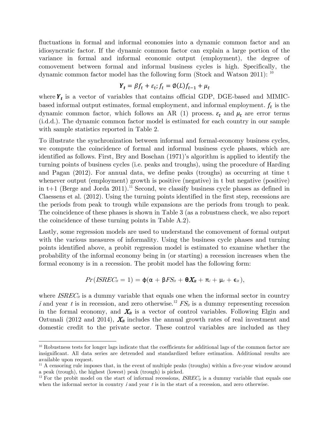fluctuations in formal and informal economies into a dynamic common factor and an idiosyncratic factor. If the dynamic common factor can explain a large portion of the variance in formal and informal economic output (employment), the degree of comovement between formal and informal business cycles is high. Specifically, the dynamic common factor model has the following form (Stock and Watson 2011): <sup>10</sup>

$$
\boldsymbol{Y}_t = \beta f_t + \varepsilon_t; f_t = \emptyset(L)f_{t-1} + \mu_t
$$

where  $Y_t$  is a vector of variables that contains official GDP, DGE-based and MIMICbased informal output estimates, formal employment, and informal employment.  $f_t$  is the dynamic common factor, which follows an AR (1) process.  $\varepsilon_t$  and  $\mu_t$  are error terms (i.d.d.). The dynamic common factor model is estimated for each country in our sample with sample statistics reported in Table 2.

To illustrate the synchronization between informal and formal-economy business cycles, we compute the coincidence of formal and informal business cycle phases, which are identified as follows. First, Bry and Boschan (1971)'s algorithm is applied to identify the turning points of business cycles (i.e. peaks and troughs), using the procedure of Harding and Pagan (2012). For annual data, we define peaks (troughs) as occurring at time t whenever output (employment) growth is positive (negative) in t but negative (positive) in t+1 (Berge and Jorda 2011).<sup>11</sup> Second, we classify business cycle phases as defined in Claessens et al. (2012). Using the turning points identified in the first step, recessions are the periods from peak to trough while expansions are the periods from trough to peak. The coincidence of these phases is shown in Table 3 (as a robustness check, we also report the coincidence of these turning points in Table A.2).

Lastly, some regression models are used to understand the comovement of formal output with the various measures of informality. Using the business cycle phases and turning points identified above, a probit regression model is estimated to examine whether the probability of the informal economy being in (or starting) a recession increases when the formal economy is in a recession. The probit model has the following form:

$$
Pr(ISREC_{it}=1)=\varphi(\alpha+\beta FS_{it}+\theta X_{it}+\pi_i+\mu_t+\epsilon_{it}),
$$

where  $ISREC_{it}$  is a dummy variable that equals one when the informal sector in country i and year t is in recession, and zero otherwise.<sup>12</sup>  $FS<sub>it</sub>$  is a dummy representing recession in the formal economy, and  $X_{it}$  is a vector of control variables. Following Elgin and Oztunali (2012 and 2014),  $X_{it}$  includes the annual growth rates of real investment and domestic credit to the private sector. These control variables are included as they

<sup>&</sup>lt;sup>10</sup> Robustness tests for longer lags indicate that the coefficients for additional lags of the common factor are insignificant. All data series are detrended and standardized before estimation. Additional results are available upon request.

 $11$  A censoring rule imposes that, in the event of multiple peaks (troughs) within a five-year window around a peak (trough), the highest (lowest) peak (trough) is picked.

<sup>&</sup>lt;sup>12</sup> For the probit model on the start of informal recessions,  $ISREC_{it}$  is a dummy variable that equals one when the informal sector in country  $i$  and year  $t$  is in the start of a recession, and zero otherwise.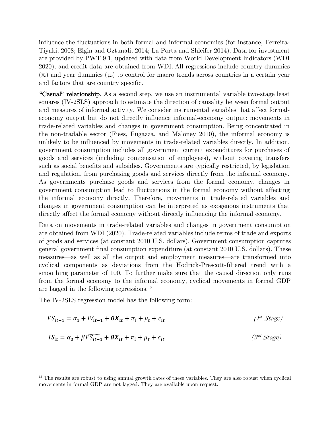influence the fluctuations in both formal and informal economies (for instance, Ferreira-Tiyaki, 2008; Elgin and Oztunali, 2014; La Porta and Shleifer 2014). Data for investment are provided by PWT 9.1, updated with data from World Development Indicators (WDI 2020), and credit data are obtained from WDI. All regressions include country dummies  $(\pi_i)$  and year dummies  $(\mu_i)$  to control for macro trends across countries in a certain year and factors that are country specific.

"Casual" relationship. As a second step, we use an instrumental variable two-stage least squares (IV-2SLS) approach to estimate the direction of causality between formal output and measures of informal activity. We consider instrumental variables that affect formaleconomy output but do not directly influence informal-economy output: movements in trade-related variables and changes in government consumption. Being concentrated in the non-tradable sector (Fiess, Fugazza, and Maloney 2010), the informal economy is unlikely to be influenced by movements in trade-related variables directly. In addition, government consumption includes all government current expenditures for purchases of goods and services (including compensation of employees), without covering transfers such as social benefits and subsidies. Governments are typically restricted, by legislation and regulation, from purchasing goods and services directly from the informal economy. As governments purchase goods and services from the formal economy, changes in government consumption lead to fluctuations in the formal economy without affecting the informal economy directly. Therefore, movements in trade-related variables and changes in government consumption can be interpreted as exogenous instruments that directly affect the formal economy without directly influencing the informal economy.

Data on movements in trade-related variables and changes in government consumption are obtained from WDI (2020). Trade-related variables include terms of trade and exports of goods and services (at constant 2010 U.S. dollars). Government consumption captures general government final consumption expenditure (at constant 2010 U.S. dollars). These measures—as well as all the output and employment measures—are transformed into cyclical components as deviations from the Hodrick-Prescott-filtered trend with a smoothing parameter of 100. To further make sure that the causal direction only runs from the formal economy to the informal economy, cyclical movements in formal GDP are lagged in the following regressions.<sup>13</sup>

The IV-2SLS regression model has the following form:

$$
FS_{it-1} = \alpha_1 + IV_{it-1} + \theta X_{it} + \pi_i + \mu_t + \epsilon_{it}
$$
\n
$$
IS_{it} = \alpha_0 + \beta F \overline{S_{it-1}} + \theta X_{it} + \pi_i + \mu_t + \epsilon_{it}
$$
\n
$$
(2^{nd} Stage)
$$
\n
$$
(2^{nd} Stage)
$$

<sup>&</sup>lt;sup>13</sup> The results are robust to using annual growth rates of these variables. They are also robust when cyclical movements in formal GDP are not lagged. They are available upon request.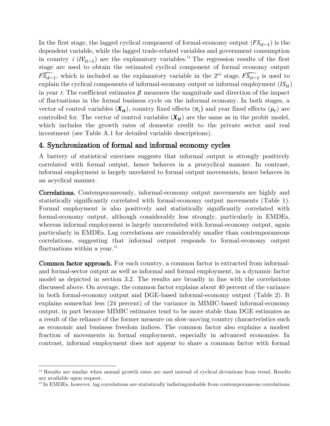In the first stage, the lagged cyclical component of formal-economy output  $(FS_{it-1})$  is the dependent variable, while the lagged trade-related variables and government consumption in country i  $(IV_{it-1})$  are the explanatory variables.<sup>14</sup> The regression results of the first stage are used to obtain the estimated cyclical component of formal economy output  $\widehat{FS_{tt-1}}$ , which is included as the explanatory variable in the 2<sup>nd</sup> stage.  $\widehat{FS_{tt-1}}$  is used to explain the cyclical components of informal-economy output or informal employment  $(IS_{it})$ in year t. The coefficient estimates  $\beta$  measures the magnitude and direction of the impact of fluctuations in the formal business cycle on the informal economy. In both stages, a vector of control variables  $(X_{it})$ , country fixed effects  $(\pi_i)$  and year fixed effects  $(\mu_t)$  are controlled for. The vector of control variables  $(X_{it})$  are the same as in the probit model, which includes the growth rates of domestic credit to the private sector and real investment (see Table A.1 for detailed variable descriptions).

## 4. Synchronization of formal and informal economy cycles

A battery of statistical exercises suggests that informal output is strongly positively correlated with formal output, hence behaves in a procyclical manner. In contrast, informal employment is largely unrelated to formal output movements, hence behaves in an acyclical manner.

Correlations. Contemporaneously, informal-economy output movements are highly and statistically significantly correlated with formal-economy output movements (Table 1). Formal employment is also positively and statistically significantly correlated with formal-economy output, although considerably less strongly, particularly in EMDEs, whereas informal employment is largely uncorrelated with formal-economy output, again particularly in EMDEs. Lag correlations are considerably smaller than contemporaneous correlations, suggesting that informal output responds to formal-economy output fluctuations within a year.<sup>15</sup>

Common factor approach. For each country, a common factor is extracted from informaland formal-sector output as well as informal and formal employment, in a dynamic factor model as depicted in section 3.2. The results are broadly in line with the correlations discussed above. On average, the common factor explains about 40 percent of the variance in both formal-economy output and DGE-based informal-economy output (Table 2). It explains somewhat less (24 percent) of the variance in MIMIC-based informal-economy output, in part because MIMIC estimates tend to be more stable than DGE estimates as a result of the reliance of the former measure on slow-moving country characteristics such as economic and business freedom indices. The common factor also explains a modest fraction of movements in formal employment, especially in advanced economies. In contrast, informal employment does not appear to share a common factor with formal

<sup>&</sup>lt;sup>14</sup> Results are similar when annual growth rates are used instead of cyclical deviations from trend. Results are available upon request.

<sup>&</sup>lt;sup>15</sup> In EMDEs, however, lag correlations are statistically indistinguishable from contemporaneous correlations.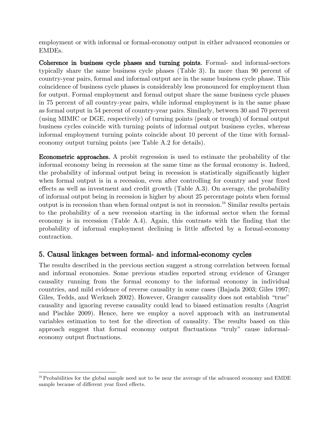employment or with informal or formal-economy output in either advanced economies or EMDEs.

Coherence in business cycle phases and turning points. Formal- and informal-sectors typically share the same business cycle phases (Table 3). In more than 90 percent of country-year pairs, formal and informal output are in the same business cycle phase. This coincidence of business cycle phases is considerably less pronounced for employment than for output. Formal employment and formal output share the same business cycle phases in 75 percent of all country-year pairs, while informal employment is in the same phase as formal output in 54 percent of country-year pairs. Similarly, between 30 and 70 percent (using MIMIC or DGE, respectively) of turning points (peak or trough) of formal output business cycles coincide with turning points of informal output business cycles, whereas informal employment turning points coincide about 10 percent of the time with formaleconomy output turning points (see Table A.2 for details).

Econometric approaches. A probit regression is used to estimate the probability of the informal economy being in recession at the same time as the formal economy is. Indeed, the probability of informal output being in recession is statistically significantly higher when formal output is in a recession, even after controlling for country and year fixed effects as well as investment and credit growth (Table A.3). On average, the probability of informal output being in recession is higher by about 25 percentage points when formal output is in recession than when formal output is not in recession.<sup>16</sup> Similar results pertain to the probability of a new recession starting in the informal sector when the formal economy is in recession (Table A.4). Again, this contrasts with the finding that the probability of informal employment declining is little affected by a formal-economy contraction.

# 5. Causal linkages between formal- and informal-economy cycles

The results described in the previous section suggest a strong correlation between formal and informal economies. Some previous studies reported strong evidence of Granger causality running from the formal economy to the informal economy in individual countries, and mild evidence of reverse causality in some cases (Bajada 2003; Giles 1997; Giles, Tedds, and Werkneh 2002). However, Granger causality does not establish "true" causality and ignoring reverse causality could lead to biased estimation results (Angrist and Pischke 2009). Hence, here we employ a novel approach with an instrumental variables estimation to test for the direction of causality. The results based on this approach suggest that formal economy output fluctuations "truly" cause informaleconomy output fluctuations.

 $16$  Probabilities for the global sample need not to be near the average of the advanced economy and EMDE sample because of different year fixed effects.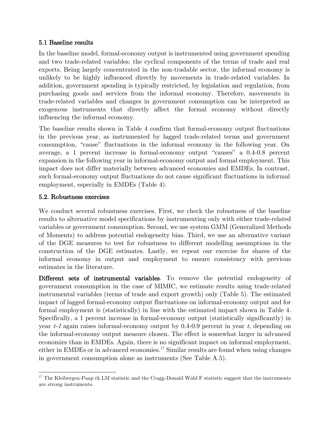#### 5.1 Baseline results

In the baseline model, formal-economy output is instrumented using government spending and two trade-related variables: the cyclical components of the terms of trade and real exports. Being largely concentrated in the non-tradable sector, the informal economy is unlikely to be highly influenced directly by movements in trade-related variables. In addition, government spending is typically restricted, by legislation and regulation, from purchasing goods and services from the informal economy. Therefore, movements in trade-related variables and changes in government consumption can be interpreted as exogenous instruments that directly affect the formal economy without directly influencing the informal economy.

The baseline results shown in Table 4 confirm that formal-economy output fluctuations in the previous year, as instrumented by lagged trade-related terms and government consumption, "cause" fluctuations in the informal economy in the following year. On average, a 1 percent increase in formal-economy output "causes" a 0.4-0.8 percent expansion in the following year in informal-economy output and formal employment. This impact does not differ materially between advanced economies and EMDEs. In contrast, such formal-economy output fluctuations do not cause significant fluctuations in informal employment, especially in EMDEs (Table 4).

#### 5.2. Robustness exercises

We conduct several robustness exercises. First, we check the robustness of the baseline results to alternative model specifications by instrumenting only with either trade-related variables or government consumption. Second, we use system GMM (Generalized Methods of Moments) to address potential endogeneity bias. Third, we use an alternative variant of the DGE measures to test for robustness to different modelling assumptions in the construction of the DGE estimates. Lastly, we repeat our exercise for shares of the informal economy in output and employment to ensure consistency with previous estimates in the literature.

Different sets of instrumental variables. To remove the potential endogeneity of government consumption in the case of MIMIC, we estimate results using trade-related instrumental variables (terms of trade and export growth) only (Table 5). The estimated impact of lagged formal-economy output fluctuations on informal-economy output and for formal employment is (statistically) in line with the estimated impact shown in Table 4. Specifically, a 1 percent increase in formal-economy output (statistically significantly) in year  $t-1$  again raises informal-economy output by 0.4-0.9 percent in year t, depending on the informal-economy output measure chosen. The effect is somewhat larger in advanced economies than in EMDEs. Again, there is no significant impact on informal employment, either in EMDEs or in advanced economies.<sup>17</sup> Similar results are found when using changes in government consumption alone as instruments (See Table A.5).

<sup>&</sup>lt;sup>17</sup> The Kleibergen-Paap rk LM statistic and the Cragg-Donald Wald F statistic suggest that the instruments are strong instruments.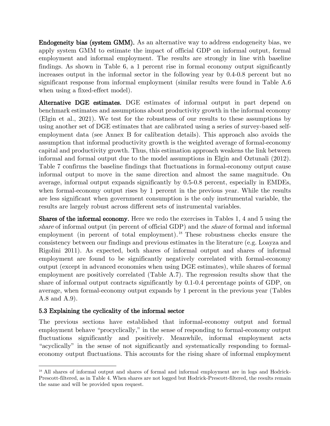Endogeneity bias (system GMM). As an alternative way to address endogeneity bias, we apply system GMM to estimate the impact of official GDP on informal output, formal employment and informal employment. The results are strongly in line with baseline findings. As shown in Table 6, a 1 percent rise in formal economy output significantly increases output in the informal sector in the following year by 0.4-0.8 percent but no significant response from informal employment (similar results were found in Table A.6 when using a fixed-effect model).

Alternative DGE estimates. DGE estimates of informal output in part depend on benchmark estimates and assumptions about productivity growth in the informal economy (Elgin et al., 2021). We test for the robustness of our results to these assumptions by using another set of DGE estimates that are calibrated using a series of survey-based selfemployment data (see Annex B for calibration details). This approach also avoids the assumption that informal productivity growth is the weighted average of formal-economy capital and productivity growth. Thus, this estimation approach weakens the link between informal and formal output due to the model assumptions in Elgin and Oztunali (2012). Table 7 confirms the baseline findings that fluctuations in formal-economy output cause informal output to move in the same direction and almost the same magnitude. On average, informal output expands significantly by 0.5-0.8 percent, especially in EMDEs, when formal-economy output rises by 1 percent in the previous year. While the results are less significant when government consumption is the only instrumental variable, the results are largely robust across different sets of instrumental variables.

Shares of the informal economy. Here we redo the exercises in Tables 1, 4 and 5 using the share of informal output (in percent of official GDP) and the share of formal and informal employment (in percent of total employment).<sup>18</sup> These robustness checks ensure the consistency between our findings and previous estimates in the literature (e.g. Loayza and Rigolini 2011). As expected, both shares of informal output and shares of informal employment are found to be significantly negatively correlated with formal-economy output (except in advanced economies when using DGE estimates), while shares of formal employment are positively correlated (Table A.7). The regression results show that the share of informal output contracts significantly by 0.1-0.4 percentage points of GDP, on average, when formal-economy output expands by 1 percent in the previous year (Tables A.8 and A.9).

## 5.3 Explaining the cyclicality of the informal sector

The previous sections have established that informal-economy output and formal employment behave "procyclically," in the sense of responding to formal-economy output fluctuations significantly and positively. Meanwhile, informal employment acts "acyclically" in the sense of not significantly and systematically responding to formaleconomy output fluctuations. This accounts for the rising share of informal employment

<sup>18</sup> All shares of informal output and shares of formal and informal employment are in logs and Hodrick-Prescott-filtered, as in Table 4. When shares are not logged but Hodrick-Prescott-filtered, the results remain the same and will be provided upon request.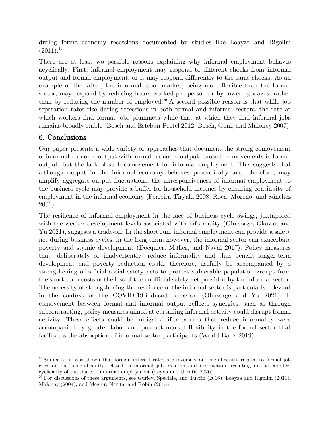during formal-economy recessions documented by studies like Loayza and Rigolini  $(2011).^{19}$ 

There are at least wo possible reasons explaining why informal employment behaves acyclically. First, informal employment may respond to different shocks from informal output and formal employment, or it may respond differently to the same shocks. As an example of the latter, the informal labor market, being more flexible than the formal sector, may respond by reducing hours worked per person or by lowering wages, rather than by reducing the number of employed.<sup>20</sup> A second possible reason is that while job separation rates rise during recessions in both formal and informal sectors, the rate at which workers find formal jobs plummets while that at which they find informal jobs remains broadly stable (Bosch and Esteban-Pretel 2012; Bosch, Goni, and Maloney 2007).

# 6. Conclusions

Our paper presents a wide variety of approaches that document the strong comovement of informal-economy output with formal-economy output, caused by movements in formal output, but the lack of such comovement for informal employment. This suggests that although output in the informal economy behaves procyclically and, therefore, may amplify aggregate output fluctuations, the unresponsiveness of informal employment to the business cycle may provide a buffer for household incomes by ensuring continuity of employment in the informal economy (Ferreira-Tiryaki 2008; Roca, Moreno, and Sánchez 2001).

The resilience of informal employment in the face of business cycle swings, juxtaposed with the weaker development levels associated with informality (Ohnsorge, Okawa, and Yu 2021), suggests a trade-off. In the short run, informal employment can provide a safety net during business cycles; in the long term, however, the informal sector can exacerbate poverty and stymie development (Docquier, Müller, and Naval 2017). Policy measures that—deliberately or inadvertently—reduce informality and thus benefit longer-term development and poverty reduction could, therefore, usefully be accompanied by a strengthening of official social safety nets to protect vulnerable population groups from the short-term costs of the loss of the unofficial safety net provided by the informal sector. The necessity of strengthening the resilience of the informal sector is particularly relevant in the context of the COVID-19-induced recession (Ohnsorge and Yu 2021). If comovement between formal and informal output reflects synergies, such as through subcontracting, policy measures aimed at curtailing informal activity could disrupt formal activity. These effects could be mitigated if measures that reduce informality were accompanied by greater labor and product market flexibility in the formal sector that facilitates the absorption of informal-sector participants (World Bank 2019).

<sup>19</sup> Similarly, it was shown that foreign interest rates are inversely and significantly related to formal job creation but insignificantly related to informal job creation and destruction, resulting in the countercyclicality of the share of informal employment (Leyva and Urrutia 2020).

 $20$  For discussions of these arguments, see Guriev, Speciale, and Tuccio (2016), Loayza and Rigolini (2011), Maloney (2004), and Meghir, Narita, and Robin (2015).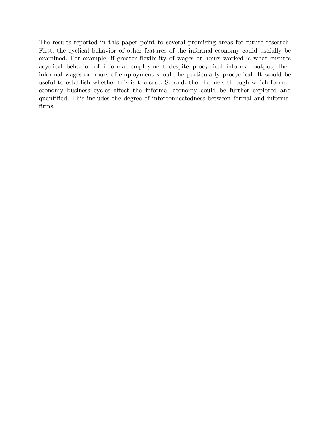The results reported in this paper point to several promising areas for future research. First, the cyclical behavior of other features of the informal economy could usefully be examined. For example, if greater flexibility of wages or hours worked is what ensures acyclical behavior of informal employment despite procyclical informal output, then informal wages or hours of employment should be particularly procyclical. It would be useful to establish whether this is the case. Second, the channels through which formaleconomy business cycles affect the informal economy could be further explored and quantified. This includes the degree of interconnectedness between formal and informal firms.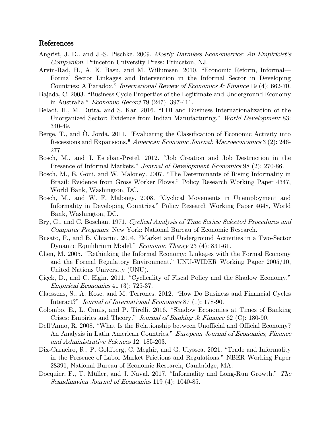#### References

- Angrist, J. D., and J.-S. Pischke. 2009. *Mostly Harmless Econometrics: An Empiricist's* Companion. Princeton University Press: Princeton, NJ.
- Arvin-Rad, H., A. K. Basu, and M. Willumsen. 2010. "Economic Reform, Informal— Formal Sector Linkages and Intervention in the Informal Sector in Developing Countries: A Paradox." International Review of Economics & Finance 19 (4): 662-70.
- Bajada, C. 2003. "Business Cycle Properties of the Legitimate and Underground Economy in Australia." Economic Record 79 (247): 397-411.
- Beladi, H., M. Dutta, and S. Kar. 2016. "FDI and Business Internationalization of the Unorganized Sector: Evidence from Indian Manufacturing." World Development 83: 340-49.
- Berge, T., and O. Jordà. 2011. "Evaluating the Classification of Economic Activity into Recessions and Expansions." American Economic Journal: Macroeconomics 3 (2): 246- 277.
- Bosch, M., and J. Esteban-Pretel. 2012. "Job Creation and Job Destruction in the Presence of Informal Markets." *Journal of Development Economics* 98 (2): 270-86.
- Bosch, M., E. Goni, and W. Maloney. 2007. "The Determinants of Rising Informality in Brazil: Evidence from Gross Worker Flows." Policy Research Working Paper 4347, World Bank, Washington, DC.
- Bosch, M., and W. F. Maloney. 2008. "Cyclical Movements in Unemployment and Informality in Developing Countries." Policy Research Working Paper 4648, World Bank, Washington, DC.
- Bry, G., and C. Boschan. 1971. Cyclical Analysis of Time Series: Selected Procedures and Computer Programs. New York: National Bureau of Economic Research.
- Busato, F., and B. Chiarini. 2004. "Market and Underground Activities in a Two-Sector Dynamic Equilibrium Model." Economic Theory 23 (4): 831-61.
- Chen, M. 2005. "Rethinking the Informal Economy: Linkages with the Formal Economy and the Formal Regulatory Environment." UNU-WIDER Working Paper 2005/10, United Nations University (UNU).
- Çiçek, D., and C. Elgin. 2011. "Cyclicality of Fiscal Policy and the Shadow Economy." Empirical Economics 41 (3): 725-37.
- Claessens, S., A. Kose, and M. Terrones. 2012. "How Do Business and Financial Cycles Interact?" Journal of International Economics 87 (1): 178-90.
- Colombo, E., L. Onnis, and P. Tirelli. 2016. "Shadow Economies at Times of Banking Crises: Empirics and Theory." *Journal of Banking & Finance* 62 (C): 180-90.
- Dell'Anno, R. 2008. "What Is the Relationship between Unofficial and Official Economy? An Analysis in Latin American Countries." European Journal of Economics, Finance and Administrative Sciences 12: 185-203.
- Dix-Carneiro, R., P. Goldberg, C. Meghir, and G. Ulyssea. 2021. "Trade and Informality in the Presence of Labor Market Frictions and Regulations." NBER Working Paper 28391, National Bureau of Economic Research, Cambridge, MA.
- Docquier, F., T. Müller, and J. Naval. 2017. "Informality and Long-Run Growth." The Scandinavian Journal of Economics 119 (4): 1040-85.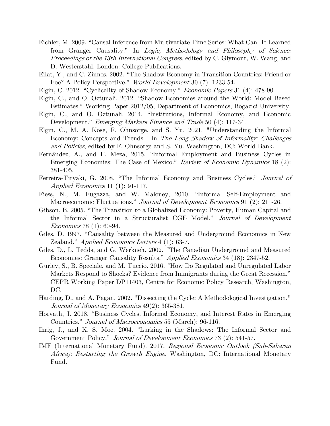- Eichler, M. 2009. "Causal Inference from Multivariate Time Series: What Can Be Learned from Granger Causality." In Logic, Methodology and Philosophy of Science: Proceedings of the 13th International Congress, edited by C. Glymour, W. Wang, and D. Westerstahl. London: College Publications.
- Eilat, Y., and C. Zinnes. 2002. "The Shadow Economy in Transition Countries: Friend or Foe? A Policy Perspective." World Development 30 (7): 1233-54.
- Elgin, C. 2012. "Cyclicality of Shadow Economy." Economic Papers 31 (4): 478-90.
- Elgin, C., and O. Oztunali. 2012. "Shadow Economies around the World: Model Based Estimates." Working Paper 2012/05, Department of Economics, Bogazici University.
- Elgin, C., and O. Oztunali. 2014. "Institutions, Informal Economy, and Economic Development." *Emerging Markets Finance and Trade* 50 (4): 117-34.
- Elgin, C., M. A. Kose, F. Ohnsorge, and S. Yu. 2021. "Understanding the Informal Economy: Concepts and Trends." In *The Long Shadow of Informality: Challenges* and Policies, edited by F. Ohnsorge and S. Yu. Washington, DC: World Bank.
- Fernández, A., and F. Meza, 2015. "Informal Employment and Business Cycles in Emerging Economies: The Case of Mexico." Review of Economic Dynamics 18 (2): 381-405.
- Ferreira-Tiryaki, G. 2008. "The Informal Economy and Business Cycles." Journal of Applied Economics 11 (1): 91-117.
- Fiess, N., M. Fugazza, and W. Maloney, 2010. "Informal Self-Employment and Macroeconomic Fluctuations." *Journal of Development Economics* 91 (2): 211-26.
- Gibson, B. 2005. "The Transition to a Globalized Economy: Poverty, Human Capital and the Informal Sector in a Structuralist CGE Model." Journal of Development Economics 78 (1): 60-94.
- Giles, D. 1997. "Causality between the Measured and Underground Economics in New Zealand." *Applied Economics Letters* 4 (1): 63-7.
- Giles, D., L. Tedds, and G. Werkneh. 2002. "The Canadian Underground and Measured Economies: Granger Causality Results." Applied Economics 34 (18): 2347-52.
- Guriev, S., B. Speciale, and M. Tuccio. 2016. "How Do Regulated and Unregulated Labor Markets Respond to Shocks? Evidence from Immigrants during the Great Recession." CEPR Working Paper DP11403, Centre for Economic Policy Research, Washington, DC.
- Harding, D., and A. Pagan. 2002. "Dissecting the Cycle: A Methodological Investigation." Journal of Monetary Economics 49(2): 365-381.
- Horvath, J. 2018. "Business Cycles, Informal Economy, and Interest Rates in Emerging Countries." Journal of Macroeconomics 55 (March): 96-116.
- Ihrig, J., and K. S. Moe. 2004. "Lurking in the Shadows: The Informal Sector and Government Policy." *Journal of Development Economics* 73 (2): 541-57.
- IMF (International Monetary Fund). 2017. Regional Economic Outlook (Sub-Saharan Africa): Restarting the Growth Engine. Washington, DC: International Monetary Fund.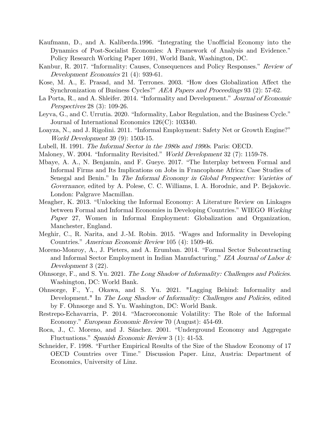- Kaufmann, D., and A. Kaliberda.1996. "Integrating the Unofficial Economy into the Dynamics of Post-Socialist Economies: A Framework of Analysis and Evidence." Policy Research Working Paper 1691, World Bank, Washington, DC.
- Kanbur, R. 2017. "Informality: Causes, Consequences and Policy Responses." Review of Development Economics 21 (4): 939-61.
- Kose, M. A., E. Prasad, and M. Terrones. 2003. "How does Globalization Affect the Synchronization of Business Cycles?" AEA Papers and Proceedings 93 (2): 57-62.
- La Porta, R., and A. Shleifer. 2014. "Informality and Development." Journal of Economic Perspectives 28 (3): 109-26.
- Leyva, G., and C. Urrutia. 2020. "Informality, Labor Regulation, and the Business Cycle." Journal of International Economics 126(C): 103340.
- Loayza, N., and J. Rigolini. 2011. "Informal Employment: Safety Net or Growth Engine?" World Development 39 (9): 1503-15.
- Lubell, H. 1991. The Informal Sector in the 1980s and 1990s. Paris: OECD.
- Maloney, W. 2004. "Informality Revisited." World Development 32 (7): 1159-78.
- Mbaye, A. A., N. Benjamin, and F. Gueye. 2017. "The Interplay between Formal and Informal Firms and Its Implications on Jobs in Francophone Africa: Case Studies of Senegal and Benin." In The Informal Economy in Global Perspective: Varieties of Governance, edited by A. Polese, C. C. Williams, I. A. Horodnic, and P. Bejakovic. London: Palgrave Macmillan.
- Meagher, K. 2013. "Unlocking the Informal Economy: A Literature Review on Linkages between Formal and Informal Economies in Developing Countries." WIEGO Working Paper 27, Women in Informal Employment: Globalization and Organization, Manchester, England.
- Meghir, C., R. Narita, and J.-M. Robin. 2015. "Wages and Informality in Developing Countries." American Economic Review 105 (4): 1509-46.
- Moreno-Monroy, A., J. Pieters, and A. Erumban. 2014. "Formal Sector Subcontracting and Informal Sector Employment in Indian Manufacturing." IZA Journal of Labor & Development 3 (22).
- Ohnsorge, F., and S. Yu. 2021. The Long Shadow of Informality: Challenges and Policies. Washington, DC: World Bank.
- Ohnsorge, F., Y., Okawa, and S. Yu. 2021. "Lagging Behind: Informality and Development." In The Long Shadow of Informality: Challenges and Policies, edited by F. Ohnsorge and S. Yu. Washington, DC: World Bank.
- Restrepo-Echavarria, P. 2014. "Macroeconomic Volatility: The Role of the Informal Economy." *European Economic Review* 70 (August): 454-69.
- Roca, J., C. Moreno, and J. Sánchez. 2001. "Underground Economy and Aggregate Fluctuations." Spanish Economic Review 3 (1): 41-53.
- Schneider, F. 1998. "Further Empirical Results of the Size of the Shadow Economy of 17 OECD Countries over Time." Discussion Paper. Linz, Austria: Department of Economics, University of Linz.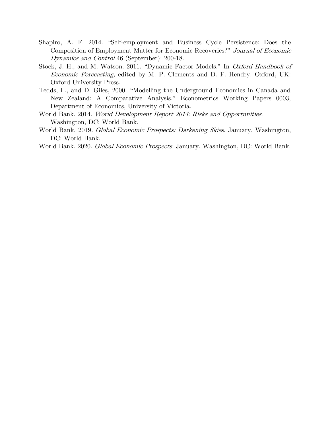- Shapiro, A. F. 2014. "Self-employment and Business Cycle Persistence: Does the Composition of Employment Matter for Economic Recoveries?" Journal of Economic Dynamics and Control 46 (September): 200-18.
- Stock, J. H., and M. Watson. 2011. "Dynamic Factor Models." In *Oxford Handbook of* Economic Forecasting, edited by M. P. Clements and D. F. Hendry. Oxford, UK: Oxford University Press.
- Tedds, L., and D. Giles, 2000. "Modelling the Underground Economies in Canada and New Zealand: A Comparative Analysis." Econometrics Working Papers 0003, Department of Economics, University of Victoria.
- World Bank. 2014. World Development Report 2014: Risks and Opportunities. Washington, DC: World Bank.
- World Bank. 2019. Global Economic Prospects: Darkening Skies. January. Washington, DC: World Bank.
- World Bank. 2020. Global Economic Prospects. January. Washington, DC: World Bank.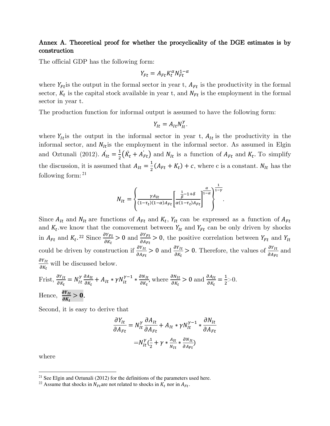#### Annex A. Theoretical proof for whether the procyclicality of the DGE estimates is by construction

The official GDP has the following form:

$$
Y_{Ft} = A_{Ft} K_t^{\alpha} N_{Ft}^{1-\alpha}
$$

where  $Y_{Ft}$  is the output in the formal sector in year t,  $A_{Ft}$  is the productivity in the formal sector,  $K_t$  is the capital stock available in year t, and  $N_{Ft}$  is the employment in the formal sector in year t.

The production function for informal output is assumed to have the following form:

$$
Y_{It} = A_{It} N_{It}^{\gamma}.
$$

where  $Y_{lt}$  is the output in the informal sector in year t,  $A_{lt}$  is the productivity in the informal sector, and  $N_{lt}$  is the employment in the informal sector. As assumed in Elgin and Oztunali (2012).  $\dot{A_{It}} = \frac{1}{2}$  $\frac{1}{2}(\dot{K}_t + A_{Ft})$  and  $N_{lt}$  is a function of  $A_{Ft}$  and  $K_t$ . To simplify the discussion, it is assumed that  $A_{It} = \frac{1}{2}$  $\frac{1}{2}(A_{Ft} + K_t) + c$ , where c is a constant.  $N_{lt}$  has the following form: <sup>21</sup>

$$
N_{It} = \left\{ \frac{\gamma A_{It}}{(1-\tau_t)(1-\alpha)A_{Ft}} \left[ \frac{\frac{1}{\beta}-1+\delta}{\alpha(1-\tau_t)A_{Ft}} \right]^{\frac{\alpha}{1-\alpha}} \right\}^{\frac{1}{1-\gamma}}.
$$

Since  $A_{lt}$  and  $N_{lt}$  are functions of  $A_{rt}$  and  $K_t$ ,  $Y_{lt}$  can be expressed as a function of  $A_{rt}$ and  $K_t$  we know that the comovement between  $Y_{lt}$  and  $Y_{rt}$  can be only driven by shocks in  $A_{Ft}$  and  $K_t$ .<sup>22</sup> Since  $\frac{\partial Y_{Ft}}{\partial K_t}$  $\frac{\partial Y_{Ft}}{\partial K_t} > 0$  and  $\frac{\partial Y_{Ft}}{\partial A_{Ft}} > 0$ , the positive correlation between  $Y_{Ft}$  and  $Y_{It}$ could be driven by construction if  $\frac{\partial Y_{It}}{\partial x}$  $\frac{\partial Y_{It}}{\partial A_{Ft}} > 0$  and  $\frac{\partial Y_{It}}{\partial K_t} > 0$ . Therefore, the values of  $\frac{\partial Y_{It}}{\partial A_{Ft}}$  and  $dY_{It}$  $\partial K_t$ will be discussed below.

First, 
$$
\frac{\partial Y_{lt}}{\partial K_t} = N_{lt}^{\gamma} \frac{\partial A_{lt}}{\partial K_t} + A_{lt} * \gamma N_{it}^{\gamma - 1} * \frac{\partial N_{lt}}{\partial K_t}
$$
, where  $\frac{\partial N_{lt}}{\partial K_t} > 0$  and  $\frac{\partial A_{lt}}{\partial K_t} = \frac{1}{2} > 0$ .  
Hence,  $\frac{\partial Y_{lt}}{\partial K_t} > 0$ .

Second, it is easy to derive that

$$
\frac{\partial Y_{lt}}{\partial A_{Ft}} = N_{lt}^{\gamma} \frac{\partial A_{lt}}{\partial A_{Ft}} + A_{lt} * \gamma N_{lt}^{\gamma-1} * \frac{\partial N_{lt}}{\partial A_{Ft}}
$$

$$
= N_{lt}^{\gamma} (\frac{1}{2} + \gamma * \frac{A_{lt}}{N_{lt}} * \frac{\partial N_{lt}}{\partial A_{Ft}})
$$

where

<sup>&</sup>lt;sup>21</sup> See Elgin and Oztunali (2012) for the definitions of the parameters used here.

<sup>&</sup>lt;sup>22</sup> Assume that shocks in  $N_{Ft}$  are not related to shocks in  $K_t$  nor in  $A_{Ft}$ .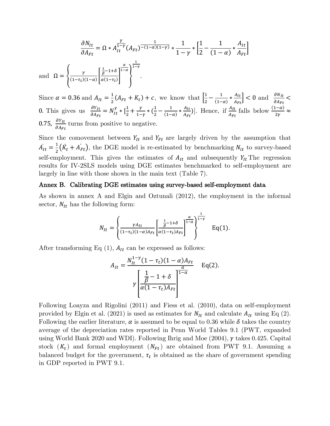$$
\frac{\partial N_{lt}}{\partial A_{Ft}} = \Omega * A_{lt}^{\frac{\gamma}{1-\gamma}} (A_{Ft})^{-\frac{1}{(1-\alpha)(1-\gamma)}} * \frac{1}{1-\gamma} * \left[\frac{1}{2} - \frac{1}{(1-\alpha)} * \frac{A_{lt}}{A_{Ft}}\right]
$$
  
and 
$$
\Omega = \left\{\frac{\gamma}{(1-\tau_t)(1-\alpha)} \left[\frac{\frac{1}{\beta}-1+\delta}{\alpha(1-\tau_t)}\right]^{\frac{\alpha}{1-\alpha}}\right\}^{\frac{1}{1-\gamma}}.
$$

Since  $\alpha = 0.36$  and  $A_{It} = \frac{1}{2}$  $\frac{1}{2}(A_{Ft}+K_t)+c$ , we know that  $\left|\frac{1}{2}\right|$  $\frac{1}{2} - \frac{1}{(1-1)}$  $\frac{1}{(1-\alpha)} * \frac{A_{It}}{A_{Ft}}$  $\left| \frac{A_{It}}{A_{Ft}} \right|$  < 0 and  $\left| \frac{\partial N_{It}}{\partial A_{Ft}} \right|$  < 0. This gives us  $\frac{\partial Y_{It}}{\partial A_{Ft}} = N_{It}^{\gamma} * \left[\frac{1}{2} + \frac{\gamma}{1 - \gamma}\right]$  $\frac{\gamma}{1-\gamma} * (\frac{1}{2} - \frac{1}{(1-\gamma)^2})$  $\frac{1}{(1-\alpha)} * \frac{A_{It}}{A_{Ft}}$  $\frac{A_{It}}{A_{Ft}}$ ]. Hence, if  $\frac{A_{It}}{A_{Ft}}$ falls below  $\frac{(1-\alpha)}{2\gamma} \approx$ 0.75,  $\frac{\partial Y_{It}}{\partial A_{Et}}$  $\sigma A_{Ft}$ turns from positive to negative.

Since the comovement between  $Y_{lt}$  and  $Y_{rt}$  are largely driven by the assumption that  $\dot{A_{It}} = \frac{1}{2}$  $\frac{1}{2}(\dot{K}_t + \dot{A}_{Ft})$ , the DGE model is re-estimated by benchmarking  $N_{it}$  to survey-based self-employment. This gives the estimates of  $A_{It}$  and subsequently  $Y_{It}$  The regression results for IV-2SLS models using DGE estimates benchmarked to self-employment are largely in line with those shown in the main text (Table 7).

#### Annex B. Calibrating DGE estimates using survey-based self-employment data

As shown in annex A and Elgin and Oztunali (2012), the employment in the informal sector,  $N_{It}$  has the following form:

$$
N_{It} = \left\{ \frac{\gamma A_{It}}{(1-\tau_t)(1-\alpha)A_{Ft}} \left[ \frac{\frac{1}{\beta}-1+\delta}{\alpha(1-\tau_t)A_{Ft}} \right]^{\frac{\alpha}{1-\alpha}} \right\}^{\frac{1}{1-\gamma}} \quad \text{Eq(1)}.
$$

After transforming Eq  $(1)$ ,  $A_{It}$  can be expressed as follows:

$$
A_{It} = \frac{N_{It}^{1-\gamma}(1-\tau_t)(1-\alpha)A_{Ft}}{\gamma \left[\frac{\frac{1}{\beta}-1+\delta}{\alpha(1-\tau_t)A_{Ft}}\right]^{1-\alpha}}
$$
 Eq(2).

Following Loayza and Rigolini (2011) and Fiess et al. (2010), data on self-employment provided by Elgin et al. (2021) is used as estimates for  $N_{It}$  and calculate  $A_{It}$  using Eq (2). Following the earlier literature,  $\alpha$  is assumed to be equal to 0.36 while  $\delta$  takes the country average of the depreciation rates reported in Penn World Tables 9.1 (PWT, expanded using World Bank 2020 and WDI). Following Ihrig and Moe  $(2004)$ ,  $\gamma$  takes 0.425. Capital stock  $(K_t)$  and formal employment  $(N_{Ft})$  are obtained from PWT 9.1. Assuming a balanced budget for the government,  $\tau_t$  is obtained as the share of government spending in GDP reported in PWT 9.1.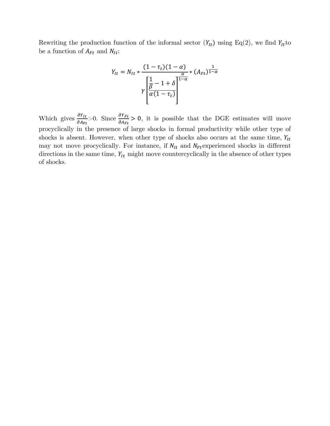Rewriting the production function of the informal sector  $(Y_{lt})$  using Eq(2), we find  $Y_{lt}$  to be a function of  $A_{Ft}$  and  $N_{lt}$ :

$$
Y_{It} = N_{It} * \frac{(1 - \tau_t)(1 - \alpha)}{\gamma \left[\frac{1}{\beta} - 1 + \delta\right]^{\frac{\alpha}{1 - \alpha}}} * (A_{Ft})^{\frac{1}{1 - \alpha}}
$$

Which gives  $\frac{\partial Y_{lt}}{\partial A}$  $\sigma A_{Ft}$  $>0$ . Since  $\frac{\partial Y_{Ft}}{\partial A}$  $\frac{\partial T_{Ft}}{\partial A_{Ft}} > 0$ , it is possible that the DGE estimates will move procyclically in the presence of large shocks in formal productivity while other type of shocks is absent. However, when other type of shocks also occurs at the same time,  $Y_{lt}$ may not move procyclically. For instance, if  $N_{It}$  and  $N_{Ft}$  experienced shocks in different directions in the same time,  $Y_{lt}$  might move countercyclically in the absence of other types of shocks.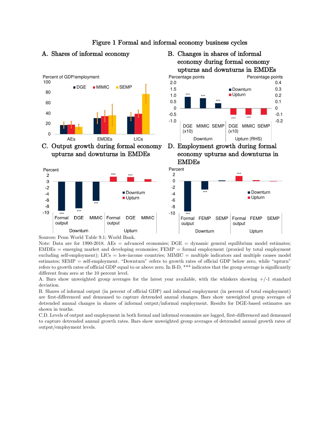

C. Output growth during formal economy upturns and downturns in EMDEs



# Figure 1 Formal and informal economy business cycles





D. Employment growth during formal economy upturns and downturns in EMDEs



Note: Data are for 1990-2018. AEs = advanced economies; DGE = dynamic general equilibrium model estimates;  $EMDEs$  = emerging market and developing economies;  $FEMP$  = formal employment (proxied by total employment excluding self-employment); LICs = low-income countries; MIMIC = multiple indicators and multiple causes model estimates; SEMP = self-employment. "Downturn" refers to growth rates of official GDP below zero, while "upturn" refers to growth rates of official GDP equal to or above zero. In B-D, \*\*\* indicates that the group average is significantly different from zero at the 10 percent level.

A. Bars show unweighted group averages for the latest year available, with the whiskers showing +/-1 standard deviation.

B. Shares of informal output (in percent of official GDP) and informal employment (in percent of total employment) are first-differenced and demeaned to capture detrended annual changes. Bars show unweighted group averages of detrended annual changes in shares of informal output/informal employment. Results for DGE-based estimates are shown in tenths.

C.D. Levels of output and employment in both formal and informal economies are logged, first-differenced and demeaned to capture detrended annual growth rates. Bars show unweighted group averages of detrended annual growth rates of output/employment levels.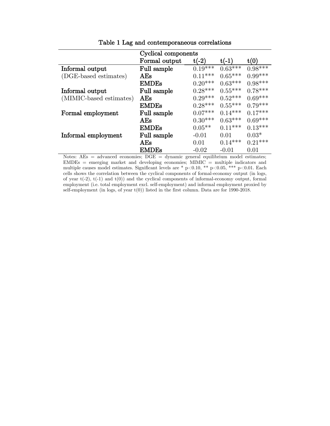|                         | Cyclical components |           |           |           |
|-------------------------|---------------------|-----------|-----------|-----------|
|                         | Formal output       | $t(-2)$   | $t(-1)$   | t(0)      |
| Informal output         | Full sample         | $0.19***$ | $0.63***$ | $0.98***$ |
| (DGE-based estimates)   | AEs                 | $0.11***$ | $0.65***$ | $0.99***$ |
|                         | <b>EMDEs</b>        | $0.20***$ | $0.63***$ | $0.98***$ |
| Informal output         | Full sample         | $0.28***$ | $0.55***$ | $0.78***$ |
| (MIMIC-based estimates) | AEs                 | $0.29***$ | $0.52***$ | $0.69***$ |
|                         | <b>EMDEs</b>        | $0.28***$ | $0.55***$ | $0.79***$ |
| Formal employment       | Full sample         | $0.07***$ | $0.14***$ | $0.17***$ |
|                         | AEs                 | $0.30***$ | $0.63***$ | $0.69***$ |
|                         | <b>EMDEs</b>        | $0.05***$ | $0.11***$ | $0.13***$ |
| Informal employment     | Full sample         | $-0.01$   | 0.01      | $0.03*$   |
|                         | AEs                 | 0.01      | $0.14***$ | $0.21***$ |
|                         | <b>EMDEs</b>        | $-0.02$   | $-0.01$   | 0.01      |

Table 1 Lag and contemporaneous correlations

Notes: AEs = advanced economies; DGE = dynamic general equilibrium model estimates; EMDEs = emerging market and developing economies; MIMIC = multiple indicators and multiple causes model estimates. Significant levels are \* p<0.10, \*\* p<0.05, \*\*\* p<0.01. Each cells shows the correlation between the cyclical components of formal-economy output (in logs, of year  $t(-2)$ ,  $t(-1)$  and  $t(0)$ ) and the cyclical components of informal-economy output, formal employment (i.e. total employment excl. self-employment) and informal employment proxied by self-employment (in logs, of year t(0)) listed in the first column. Data are for 1990-2018.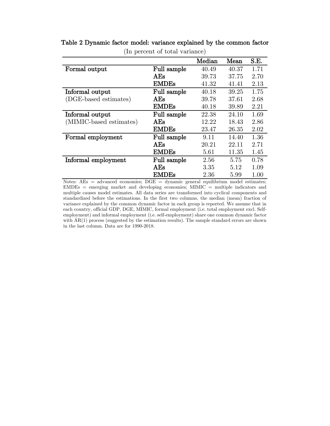|                         |              | Median | Mean  | S.E. |
|-------------------------|--------------|--------|-------|------|
| Formal output           | Full sample  | 40.49  | 40.37 | 1.71 |
|                         | AEs          | 39.73  | 37.75 | 2.70 |
|                         | <b>EMDEs</b> | 41.32  | 41.41 | 2.13 |
| Informal output         | Full sample  | 40.18  | 39.25 | 1.75 |
| (DGE-based estimates)   | AEs          | 39.78  | 37.61 | 2.68 |
|                         | <b>EMDEs</b> | 40.18  | 39.89 | 2.21 |
| Informal output         | Full sample  | 22.38  | 24.10 | 1.69 |
| (MIMIC-based estimates) | AEs          | 12.22  | 18.43 | 2.86 |
|                         | <b>EMDEs</b> | 23.47  | 26.35 | 2.02 |
| Formal employment       | Full sample  | 9.11   | 14.40 | 1.36 |
|                         | AEs          | 20.21  | 22.11 | 2.71 |
|                         | <b>EMDEs</b> | 5.61   | 11.35 | 1.45 |
| Informal employment     | Full sample  | 2.56   | 5.75  | 0.78 |
|                         | AEs          | 3.35   | 5.12  | 1.09 |
|                         | <b>EMDEs</b> | 2.36   | 5.99  | 1.00 |

# Table 2 Dynamic factor model: variance explained by the common factor

(In percent of total variance)

Notes: AEs = advanced economies; DGE = dynamic general equilibrium model estimates; EMDEs = emerging market and developing economies; MIMIC = multiple indicators and multiple causes model estimates. All data series are transformed into cyclical components and standardized before the estimations. In the first two columns, the median (mean) fraction of variance explained by the common dynamic factor in each group is reported. We assume that in each country, official GDP, DGE, MIMIC, formal employment (i.e. total employment excl. Selfemployment) and informal employment (i.e. self-employment) share one common dynamic factor with  $AR(1)$  process (suggested by the estimation results). The sample standard errors are shown in the last column. Data are for 1990-2018.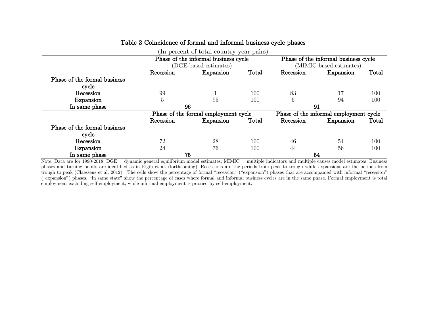|                              | (In percent of total country-year pairs) |                                      |       |                                        |                                      |       |  |  |  |  |  |  |  |
|------------------------------|------------------------------------------|--------------------------------------|-------|----------------------------------------|--------------------------------------|-------|--|--|--|--|--|--|--|
|                              |                                          | Phase of the informal business cycle |       |                                        | Phase of the informal business cycle |       |  |  |  |  |  |  |  |
|                              |                                          | (DGE-based estimates)                |       | (MIMIC-based estimates)                |                                      |       |  |  |  |  |  |  |  |
|                              | Recession                                | Expansion                            | Total | Recession                              | Expansion                            | Total |  |  |  |  |  |  |  |
| Phase of the formal business |                                          |                                      |       |                                        |                                      |       |  |  |  |  |  |  |  |
| cycle                        |                                          |                                      |       |                                        |                                      |       |  |  |  |  |  |  |  |
| Recession                    | 99                                       |                                      | 100   | 83                                     | 17                                   | 100   |  |  |  |  |  |  |  |
| Expansion                    | 5                                        | 95                                   | 100   | 6                                      | 94                                   | 100   |  |  |  |  |  |  |  |
| In same phase                | 96                                       |                                      |       | 91                                     |                                      |       |  |  |  |  |  |  |  |
|                              |                                          | Phase of the formal employment cycle |       | Phase of the informal employment cycle |                                      |       |  |  |  |  |  |  |  |
|                              | Recession                                | Expansion                            | Total | Recession                              | Expansion                            | Total |  |  |  |  |  |  |  |
| Phase of the formal business |                                          |                                      |       |                                        |                                      |       |  |  |  |  |  |  |  |
| cycle                        |                                          |                                      |       |                                        |                                      |       |  |  |  |  |  |  |  |
| Recession                    | 72                                       | 28                                   | 100   | 46                                     | 54                                   | 100   |  |  |  |  |  |  |  |
| Expansion                    | 24                                       | 76                                   | 100   | 44                                     | 56                                   | 100   |  |  |  |  |  |  |  |
| In same phase                | 75                                       |                                      |       |                                        | 54                                   |       |  |  |  |  |  |  |  |

### Table 3 Coincidence of formal and informal business cycle phases

Note: Data are for 1990-2018. DGE = dynamic general equilibrium model estimates; MIMIC = multiple indicators and multiple causes model estimates. Business phases and turning points are identified as in Elgin et al. (forthcoming). Recessions are the periods from peak to trough while expansions are the periods from trough to peak (Claessens et al. 2012). The cells show the percentage of formal "recession" ("expansion") phases that are accompanied with informal "recession" ("expansion") phases. "In same state" show the percentage of cases where formal and informal business cycles are in the same phase. Formal employment is total employment excluding self-employment, while informal employment is proxied by self-employment.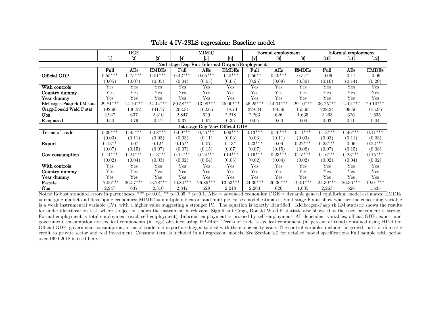|                            |                                                                                                                                                                                    | DGE        |              |                 | <b>MIMIC</b>                    |              |                                               | Formal employment      |                   | Informal employment    |               |              |
|----------------------------|------------------------------------------------------------------------------------------------------------------------------------------------------------------------------------|------------|--------------|-----------------|---------------------------------|--------------|-----------------------------------------------|------------------------|-------------------|------------------------|---------------|--------------|
|                            | $[1] % \centering \includegraphics[width=0.9\columnwidth]{figures/fig_10.pdf} \caption{The graph of the top of the top of the top of the top of the right.} \label{fig:fig_10}} %$ | $[2]$      | 3            | $\vert 4 \vert$ | 5                               | 6            | 17                                            | $\lceil 8 \rceil$      | $\lceil 9 \rceil$ | [10]                   | [11           | $[12]$       |
|                            |                                                                                                                                                                                    |            |              |                 |                                 |              | 2nd stage Dep Var: Informal Output/Employment |                        |                   |                        |               |              |
|                            | Full                                                                                                                                                                               | AEs        | <b>EMDEs</b> | Full            | AEs                             | <b>EMDEs</b> | Full                                          | AEs                    | <b>EMDEs</b>      | Full                   | AEs           | <b>EMDEs</b> |
| Official GDP               | $0.55***$                                                                                                                                                                          | $0.75***$  | $0.51***$    | $0.42***$       | $0.65***$                       | $0.40***$    | $0.56**$                                      | $0.49***$              | $0.54*$           | $-0.06$                | 0.11          | $-0.09$      |
|                            | (0.05)                                                                                                                                                                             | (0.07)     | (0.05)       | (0.04)          | (0.05)                          | (0.05)       | (0.25)                                        | (0.09)                 | (0.30)            | (0.16)                 | (0.14)        | (0.20)       |
| With controls              | Yes                                                                                                                                                                                | Yes        | Yes          | Yes             | Yes                             | Yes          | Yes                                           | Yes                    | Yes               | Yes                    | Yes           | Yes          |
| Country dummy              | Yes                                                                                                                                                                                | Yes        | Yes          | Yes             | Yes                             | Yes          | Yes                                           | Yes                    | Yes               | Yes                    | Yes           | Yes          |
| Year dummy                 | Yes                                                                                                                                                                                | Yes        | Yes          | Yes             | Yes                             | Yes          | Yes                                           | Yes                    | Yes               | Yes                    | Yes           | Yes          |
| Kleibergen-Paap rk LM stat | $29.81^{\ast\ast\ast}$                                                                                                                                                             | $14.10***$ | $24.44***$   | $30.58***$      | $13.99^{\ast\ast\ast}$          | $25.00***$   | $36.25***$                                    | $14.01^{***}$          | $29.10***$        | $36.25***$             | $14.01^{***}$ | $29.10***$   |
| Cragg-Donald Wald F stat   | 192.96                                                                                                                                                                             | 100.52     | 141.77       | 203.31          | 102.65                          | 148.74       | 228.24                                        | 99.56                  | 155.95            | 228.24                 | 99.56         | 155.95       |
| Obs                        | 2,947                                                                                                                                                                              | 637        | 2,310        | 2,847           | 629                             | 2,218        | 2,263                                         | 626                    | 1,635             | 2,263                  | 626           | 1,635        |
| R-squared                  | 0.50                                                                                                                                                                               | 0.79       | 0.47         | 0.37            | 0.62                            | 0.35         | 0.05                                          | 0.60                   | 0.04              | 0.03                   | 0.10          | 0.04         |
|                            |                                                                                                                                                                                    |            |              |                 | 1st stage Dep Var: Official GDP |              |                                               |                        |                   |                        |               |              |
| Terms of trade             | $0.09***$                                                                                                                                                                          | $0.45***$  | $0.08***$    | $0.09***$       | $0.46***$                       | $0.09***$    | $0.13***$                                     | $0.46***$              | $0.11***$         | $0.13***$              | $0.46***$     | $0.11***$    |
|                            | (0.03)                                                                                                                                                                             | (0.11)     | (0.03)       | (0.03)          | (0.11)                          | (0.03)       | (0.03)                                        | (0.11)                 | (0.03)            | (0.03)                 | (0.11)        | (0.03)       |
| Export                     | $0.13**$                                                                                                                                                                           | 0.07       | $0.12*$      | $0.15**$        | 0.07                            | $0.13*$      | $0.23***$                                     | 0.06                   | $0.22***$         | $0.23***$              | 0.06          | $0.22***$    |
|                            | (0.07)                                                                                                                                                                             | (0.15)     | (0.07)       | (0.07)          | (0.15)                          | (0.07)       | (0.07)                                        | (0.15)                 | (0.08)            | (0.07)                 | (0.15)        | (0.08)       |
| Gov consumption            | $0.14***$                                                                                                                                                                          | $0.24***$  | $0.13***$    | $0.14***$       | $0.24***$                       | $0.14***$    | $0.16***$                                     | $0.23***$              | $0.15***$         | $0.16***$              | $0.23***$     | $0.15***$    |
|                            | (0.02)                                                                                                                                                                             | (0.04)     | (0.03)       | (0.02)          | (0.04)                          | (0.03)       | (0.02)                                        | (0.04)                 | (0.02)            | (0.02)                 | (0.04)        | (0.02)       |
| With controls              | Yes                                                                                                                                                                                | Yes        | Yes          | Yes             | Yes                             | Yes          | Yes                                           | Yes                    | Yes               | Yes                    | Yes           | Yes          |
| Country dummy              | Yes                                                                                                                                                                                | Yes        | Yes          | Yes             | Yes                             | Yes          | Yes                                           | Yes                    | Yes               | Yes                    | Yes           | Yes          |
| Year dummy                 | Yes                                                                                                                                                                                | Yes        | Yes          | Yes             | Yes                             | Yes          | Yes                                           | Yes                    | Yes               | Yes                    | Yes           | Yes          |
| F-stats                    | $17.06^{***}\,$                                                                                                                                                                    | $26.57***$ | 13.78***     | $16.84***$      | $26.89***$                      | $13.53***$   | $24.39^{\ast\ast\ast}$                        | $26.36^{\ast\ast\ast}$ | $19.01***$        | $24.39^{\ast\ast\ast}$ | $26.36***$    | $19.01***$   |
| Obs                        | 2,947                                                                                                                                                                              | 637        | 2,310        | 2,847           | 629                             | 2,218        | 2,263                                         | 626                    | 1,635             | 2,263                  | 626           | 1,635        |

#### Table 4 IV-2SLS regression: Baseline model

Notes: Robust standard errors in parentheses, \*\*\* p<0.01, \*\* p<0.05, \* p<0.1. AEs = advanced economies; DGE = dynamic general equilibrium model estimates; EMDEs = emerging market and developing economies; MIMIC = multiple indicators and multiple causes model estimates. First-stage F-stat show whether the concerning variable is a weak instrumental variable (IV), with a higher value suggesting a stronger IV. The equation is exactly identified. Kleibergen-Paap rk LM statistic shows the results for under-identification test, where a rejection shows the instrument is relevant. Significant Cragg-Donald Wald F statistic also shows that the used instrument is strong. Formal employment is total employment (excl. self-employment). Informal employment is proxied by self-employment. All dependent variables, official GDP, export and government consumption are cyclical components (in logs) obtained using HP-filter. Terms of trade is cyclical component (in percent of trend) obtained using HP-filter. Official GDP, government consumption, terms of trade and export are lagged to deal with the endogeneity issue. The control variables include the growth rates of domestic credit to private sector and real investment. Constant term is included in all regression models. See Section 3.2 for detailed model specifications Full sample with period over 1990-2018 is used here.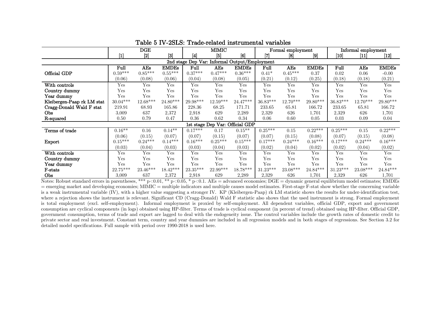|                            |                                                                                                                                                                                                                                                                                                                                                                                                                                                                                                                                                                                                                                                                                                                                                                                                                                                                                                                                                                                  | DGE       |              |                                               | MIMIC                           |              |                        | Formal employment |                  |            | Informal employment |              |
|----------------------------|----------------------------------------------------------------------------------------------------------------------------------------------------------------------------------------------------------------------------------------------------------------------------------------------------------------------------------------------------------------------------------------------------------------------------------------------------------------------------------------------------------------------------------------------------------------------------------------------------------------------------------------------------------------------------------------------------------------------------------------------------------------------------------------------------------------------------------------------------------------------------------------------------------------------------------------------------------------------------------|-----------|--------------|-----------------------------------------------|---------------------------------|--------------|------------------------|-------------------|------------------|------------|---------------------|--------------|
|                            | $[1] % \includegraphics[width=0.9\columnwidth]{figures/fig_10.pdf} \caption{The graph $\mathcal{N}_1$ is a function of the number of times, and the number of times, and the number of times, are indicated with the number of times, and the number of times, are indicated with the number of times, and the number of times, are indicated with the number of times, and the number of times, are indicated with the number of times, and the number of times, are indicated with the number of times, and the number of times, are indicated with the number of times, and the number of times, are indicated with the number of times, and the number of times, are indicated with the number of times, and the number of times, are indicated with the number of times, and the number of times, are indicated with the number of times, and the number of times, are indicated with the number of times, and the number of times, are indicated with the number of times$ | [2]       | $[3]$        | 4                                             | [5]                             | [6]          | 17                     | [8]               | $\left[9\right]$ | [10]       | [11]                | $[12]$       |
|                            |                                                                                                                                                                                                                                                                                                                                                                                                                                                                                                                                                                                                                                                                                                                                                                                                                                                                                                                                                                                  |           |              | 2nd stage Dep Var: Informal Output/Employment |                                 |              |                        |                   |                  |            |                     |              |
|                            | Full                                                                                                                                                                                                                                                                                                                                                                                                                                                                                                                                                                                                                                                                                                                                                                                                                                                                                                                                                                             | AEs       | <b>EMDEs</b> | Full                                          | AEs                             | <b>EMDEs</b> | Full                   | AEs               | <b>EMDEs</b>     | Full       | AEs                 | <b>EMDEs</b> |
| Official GDP               | $0.59***$                                                                                                                                                                                                                                                                                                                                                                                                                                                                                                                                                                                                                                                                                                                                                                                                                                                                                                                                                                        | $0.85***$ | $0.55***$    | $0.37***$                                     | $0.47***$                       | $0.36***$    | $0.41*$                | $0.45***$         | 0.37             | 0.02       | 0.06                | $-0.00$      |
|                            | (0.06)                                                                                                                                                                                                                                                                                                                                                                                                                                                                                                                                                                                                                                                                                                                                                                                                                                                                                                                                                                           | (0.08)    | (0.06)       | (0.04)                                        | (0.08)                          | (0.05)       | (0.21)                 | (0.12)            | (0.25)           | (0.18)     | (0.18)              | (0.21)       |
| With controls              | Yes                                                                                                                                                                                                                                                                                                                                                                                                                                                                                                                                                                                                                                                                                                                                                                                                                                                                                                                                                                              | Yes       | Yes          | Yes                                           | Yes                             | Yes          | Yes                    | Yes               | Yes              | Yes        | Yes                 | Yes          |
| Country dummy              | Yes                                                                                                                                                                                                                                                                                                                                                                                                                                                                                                                                                                                                                                                                                                                                                                                                                                                                                                                                                                              | Yes       | Yes          | Yes                                           | Yes                             | Yes          | Yes                    | Yes               | Yes              | Yes        | Yes                 | Yes          |
| Year dummy                 | Yes                                                                                                                                                                                                                                                                                                                                                                                                                                                                                                                                                                                                                                                                                                                                                                                                                                                                                                                                                                              | Yes       | Yes          | Yes                                           | Yes                             | Yes          | Yes                    | Yes               | Yes              | Yes        | Yes                 | Yes          |
| Kleibergen-Paap rk LM stat | 30.04***                                                                                                                                                                                                                                                                                                                                                                                                                                                                                                                                                                                                                                                                                                                                                                                                                                                                                                                                                                         | 12.68***  | $24.80***$   | $29.98^{\ast\ast\ast}$                        | $12.59***$                      | $24.47***$   | $36.83^{\ast\ast\ast}$ | $12.70***$        | $29.80***$       | $36.83***$ | $12.70***$          | $29.80***$   |
| Cragg-Donald Wald F stat   | 219.91                                                                                                                                                                                                                                                                                                                                                                                                                                                                                                                                                                                                                                                                                                                                                                                                                                                                                                                                                                           | 68.93     | 165.86       | 228.36                                        | 68.25                           | 171.71       | 233.65                 | 65.81             | 166.72           | 233.65     | 65.81               | 166.72       |
| <b>Obs</b>                 | 3,009                                                                                                                                                                                                                                                                                                                                                                                                                                                                                                                                                                                                                                                                                                                                                                                                                                                                                                                                                                            | 637       | 2,372        | 2,918                                         | 629                             | 2,289        | 2,329                  | 626               | 1,701            | 2,329      | 626                 | 1,701        |
| R-squared                  | 0.50                                                                                                                                                                                                                                                                                                                                                                                                                                                                                                                                                                                                                                                                                                                                                                                                                                                                                                                                                                             | 0.79      | 0.47         | 0.36                                          | 0.62                            | 0.34         | 0.06                   | 0.60              | 0.05             | 0.03       | 0.09                | 0.04         |
|                            |                                                                                                                                                                                                                                                                                                                                                                                                                                                                                                                                                                                                                                                                                                                                                                                                                                                                                                                                                                                  |           |              |                                               | 1st stage Dep Var: Official GDP |              |                        |                   |                  |            |                     |              |
| Terms of trade             | $0.16***$                                                                                                                                                                                                                                                                                                                                                                                                                                                                                                                                                                                                                                                                                                                                                                                                                                                                                                                                                                        | 0.16      | $0.14**$     | $0.17***$                                     | 0.17                            | $0.15***$    | $0.25***$              | 0.15              | $0.22***$        | $0.25***$  | 0.15                | $0.22***$    |
|                            | (0.06)                                                                                                                                                                                                                                                                                                                                                                                                                                                                                                                                                                                                                                                                                                                                                                                                                                                                                                                                                                           | (0.15)    | (0.07)       | (0.07)                                        | (0.15)                          | (0.07)       | (0.07)                 | (0.15)            | (0.08)           | (0.07)     | (0.15)              | (0.08)       |
| Export                     | $0.15***$                                                                                                                                                                                                                                                                                                                                                                                                                                                                                                                                                                                                                                                                                                                                                                                                                                                                                                                                                                        | $0.24***$ | $0.14***$    | $0.16***$                                     | $0.25***$                       | $0.15***$    | $0.17***$              | $0.24***$         | $0.16***$        | $0.17***$  | $0.24***$           | $0.16***$    |
|                            | (0.03)                                                                                                                                                                                                                                                                                                                                                                                                                                                                                                                                                                                                                                                                                                                                                                                                                                                                                                                                                                           | (0.04)    | (0.03)       | (0.03)                                        | (0.04)                          | (0.03)       | (0.02)                 | (0.04)            | (0.02)           | (0.02)     | (0.04)              | (0.02)       |
| With controls              | Yes                                                                                                                                                                                                                                                                                                                                                                                                                                                                                                                                                                                                                                                                                                                                                                                                                                                                                                                                                                              | Yes       | Yes          | Yes                                           | Yes                             | Yes          | Yes                    | Yes               | Yes              | Yes        | Yes                 | Yes          |
| Country dummy              | Yes                                                                                                                                                                                                                                                                                                                                                                                                                                                                                                                                                                                                                                                                                                                                                                                                                                                                                                                                                                              | Yes       | Yes          | Yes                                           | Yes                             | Yes          | Yes                    | Yes               | Yes              | Yes        | Yes                 | Yes          |
| Year dummy                 | Yes                                                                                                                                                                                                                                                                                                                                                                                                                                                                                                                                                                                                                                                                                                                                                                                                                                                                                                                                                                              | Yes       | Yes          | Yes                                           | Yes                             | Yes          | Yes                    | Yes               | Yes              | Yes        | Yes                 | Yes          |
| F-stats                    | $22.75***$                                                                                                                                                                                                                                                                                                                                                                                                                                                                                                                                                                                                                                                                                                                                                                                                                                                                                                                                                                       | 23.46***  | $18.42***$   | $23.35***$                                    | 22.99***                        | 18.78***     | $31.23***$             | 23.08***          | $24.84***$       | $31.23***$ | 23.08***            | 24.84***     |
| Obs                        | 3,009                                                                                                                                                                                                                                                                                                                                                                                                                                                                                                                                                                                                                                                                                                                                                                                                                                                                                                                                                                            | 637       | 2,372        | 2,918                                         | 629                             | 2,289        | 2,329                  | 626               | 1,701            | 2,329      | 626                 | 1,701        |

Table 5 IV-2SLS: Trade-related instrumental variables

Notes: Robust standard errors in parentheses, \*\*\* p<0.01, \*\* p<0.05, \* p<0.1. AEs = advanced economies; DGE = dynamic general equilibrium model estimates; EMDEs = emerging market and developing economies; MIMIC = multiple indicators and multiple causes model estimates. First-stage F-stat show whether the concerning variable is a weak instrumental variable (IV), with a higher value suggesting a stronger IV. KP (Kleibergen-Paap) rk LM statistic shows the results for under-identification test, where a rejection shows the instrument is relevant. Significant CD (Cragg-Donald) Wald F statistic also shows that the used instrument is strong. Formal employment is total employment (excl. self-employment). Informal employment is proxied by self-employment. All dependent variables, official GDP, export and government consumption are cyclical components (in logs) obtained using HP-filter. Terms of trade is cyclical component (in percent of trend) obtained using HP-filter. Official GDP, government consumption, terms of trade and export are lagged to deal with the endogeneity issue. The control variables include the growth rates of domestic credit to private sector and real investment. Constant term, country and year dummies are included in all regression models and in both stages of regressions. See Section 3.2 for detailed model specifications. Full sample with period over 1990-2018 is used here.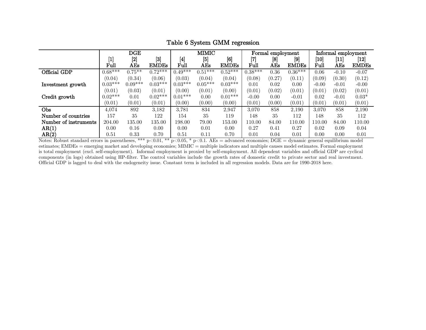|                       |                  | DGE               |              |                  | MIMIC                           |              |           | Formal employment |              |                   |         | Informal employment          |
|-----------------------|------------------|-------------------|--------------|------------------|---------------------------------|--------------|-----------|-------------------|--------------|-------------------|---------|------------------------------|
|                       | $\left[1\right]$ | $\left[ 2\right]$ | $[3]$        | $\left[4\right]$ | [5]                             | [6]          | [7]       | [8]               | $[9]$        | $\left[10\right]$ | 11      | $\left\lceil 12\right\rceil$ |
|                       | Full             | AEs               | <b>EMDEs</b> | Full             | $\mathbf A\mathbf {E}\mathbf s$ | <b>EMDEs</b> | Full      | AEs               | <b>EMDEs</b> | Full              | AEs     | <b>EMDEs</b>                 |
| Official GDP          | $0.68***$        | $0.75***$         | $0.72***$    | $0.49***$        | $0.51***$                       | $0.52***$    | $0.38***$ | $\rm 0.36$        | $0.36***$    | $0.06\,$          | $-0.10$ | $-0.07$                      |
|                       | (0.04)           | (0.34)            | (0.06)       | (0.03)           | (0.04)                          | (0.04)       | (0.08)    | (0.27)            | (0.11)       | (0.09)            | (0.30)  | (0.12)                       |
| Investment growth     | $0.03***$        | $0.09***$         | $0.03***$    | $0.03***$        | $0.05***$                       | $0.03***$    | 0.01      | 0.02              | 0.00         | $-0.00$           | $-0.01$ | $-0.00$                      |
|                       | (0.01)           | (0.03)            | (0.01)       | (0.00)           | (0.01)                          | (0.00)       | (0.01)    | (0.02)            | (0.01)       | (0.01)            | (0.02)  | (0.01)                       |
| Credit growth         | $0.02***$        | 0.01              | $0.02***$    | $0.01***$        | 0.00                            | $0.01***$    | $-0.00$   | 0.00              | $-0.01$      | 0.02              | $-0.01$ | $0.03*$                      |
|                       | (0.01)           | (0.01)            | (0.01)       | (0.00)           | (0.00)                          | (0.00)       | (0.01)    | (0.00)            | (0.01)       | (0.01)            | (0.01)  | (0.01)                       |
| Obs                   | 4,074            | 892               | 3,182        | 3.781            | 834                             | 2,947        | 3.070     | 858               | 2,190        | 3.070             | 858     | 2,190                        |
| Number of countries   | 157              | 35                | 122          | 154              | 35                              | 119          | 148       | 35                | 112          | 148               | 35      | 112                          |
| Number of instruments | 204.00           | 135.00            | 135.00       | 198.00           | 79.00                           | 153.00       | 110.00    | 84.00             | 110.00       | 110.00            | 84.00   | 110.00                       |
| AR(1)                 | 0.00             | 0.16              | 0.00         | 0.00             | 0.01                            | 0.00         | 0.27      | $\rm 0.41$        | 0.27         | 0.02              | 0.09    | 0.04                         |
| AR(2)                 | 0.51             | 0.33              | 0.70         | 0.51             | 0.11                            | 0.70         | 0.01      | 0.04              | 0.01         | $0.00\,$          | 0.00    | 0.01                         |

Table 6 System GMM regression

Notes: Robust standard errors in parentheses, \*\*\* p<0.01, \*\* p<0.05, \* p<0.1. AEs = advanced economies; DGE = dynamic general equilibrium model estimates; EMDEs = emerging market and developing economies; MIMIC = multiple indicators and multiple causes model estimates. Formal employment is total employment (excl. self-employment). Informal employment is proxied by self-employment. All dependent variables and official GDP are cyclical components (in logs) obtained using HP-filter. The control variables include the growth rates of domestic credit to private sector and real investment. Official GDP is lagged to deal with the endogeneity issue. Constant term is included in all regression models. Data are for 1990-2018 here.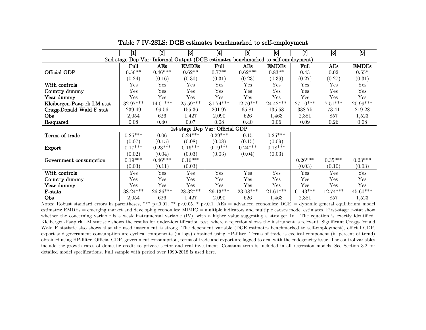|                                 | $[1] % \begin{center} % \includegraphics[width=\linewidth]{imagesSupplemental_3.png} % \end{center} % \caption { % Our method shows the proposed method. % Our method shows the proposed method. % } % \label{fig:example} %$ | $[2]$                  | $[3]$                                                                             | $[4]$                  | [5]         | [6]          | [7]        | [8]        | [9]          |  |  |  |
|---------------------------------|-------------------------------------------------------------------------------------------------------------------------------------------------------------------------------------------------------------------------------|------------------------|-----------------------------------------------------------------------------------|------------------------|-------------|--------------|------------|------------|--------------|--|--|--|
|                                 |                                                                                                                                                                                                                               |                        | 2nd stage Dep Var: Informal Output (DGE estimates benchmarked to self-employment) |                        |             |              |            |            |              |  |  |  |
|                                 | Full                                                                                                                                                                                                                          | AEs                    | <b>EMDEs</b>                                                                      | Full                   | AEs         | <b>EMDEs</b> | Full       | AEs        | <b>EMDEs</b> |  |  |  |
| Official GDP                    | $0.56**$                                                                                                                                                                                                                      | $0.46***$              | $0.62**$                                                                          | $0.77**$               | $0.62***$   | $0.83**$     | 0.43       | 0.02       | $0.55*$      |  |  |  |
|                                 | (0.24)                                                                                                                                                                                                                        | (0.16)                 | (0.30)                                                                            | (0.31)                 | (0.23)      | (0.39)       | (0.27)     | (0.27)     | (0.31)       |  |  |  |
| With controls                   | Yes                                                                                                                                                                                                                           | Yes                    | Yes                                                                               | Yes                    | Yes         | Yes          | Yes        | Yes        | Yes          |  |  |  |
| Country dummy                   | Yes                                                                                                                                                                                                                           | Yes                    | Yes                                                                               | Yes                    | Yes         | Yes          | Yes        | Yes        | Yes          |  |  |  |
| Year dummy                      | Yes                                                                                                                                                                                                                           | Yes                    | Yes                                                                               | Yes                    | Yes         | Yes          | Yes        | Yes        | Yes          |  |  |  |
| Kleibergen-Paap rk LM stat      | $32.97***$                                                                                                                                                                                                                    | $14.01^{***}$          | $25.59^{\ast\ast\ast}$                                                            | $31.74^{\ast\ast\ast}$ | $12.70***$  | $24.42***$   | $27.10***$ | $7.51***$  | 20.99***     |  |  |  |
| Cragg-Donald Wald F stat        | 239.49                                                                                                                                                                                                                        | 99.56                  | 155.36                                                                            | 201.97                 | 65.81       | 135.58       | 338.75     | 73.41      | 219.28       |  |  |  |
| Obs                             | 2,054                                                                                                                                                                                                                         | 626                    | 1,427                                                                             | 2,090                  | 626         | 1,463        | 2,381      | 857        | 1,523        |  |  |  |
| R-squared                       | 0.08                                                                                                                                                                                                                          | 0.40                   | 0.07                                                                              | 0.08                   | 0.40        | 0.06         | 0.09       | 0.26       | $0.08\,$     |  |  |  |
| 1st stage Dep Var: Official GDP |                                                                                                                                                                                                                               |                        |                                                                                   |                        |             |              |            |            |              |  |  |  |
| Terms of trade                  | $0.25***$                                                                                                                                                                                                                     | $0.06\,$               | $0.24***$                                                                         | $0.29***$              | $0.15\,$    | $0.25***$    |            |            |              |  |  |  |
|                                 | (0.07)                                                                                                                                                                                                                        | (0.15)                 | (0.08)                                                                            | (0.08)                 | (0.15)      | (0.09)       |            |            |              |  |  |  |
| Export                          | $0.17***$                                                                                                                                                                                                                     | $0.23***$              | $0.16***$                                                                         | $0.19***$              | $0.24***$   | $0.18***$    |            |            |              |  |  |  |
|                                 | (0.02)                                                                                                                                                                                                                        | (0.04)                 | (0.03)                                                                            | (0.03)                 | (0.04)      | (0.03)       |            |            |              |  |  |  |
| Government consumption          | $0.19***$                                                                                                                                                                                                                     | $0.46***$              | $0.16***$                                                                         |                        |             |              | $0.26***$  | $0.35***$  | $0.23***$    |  |  |  |
|                                 | (0.03)                                                                                                                                                                                                                        | (0.11)                 | (0.03)                                                                            |                        |             |              | (0.03)     | (0.10)     | (0.03)       |  |  |  |
| With controls                   | Yes                                                                                                                                                                                                                           | Yes                    | Yes                                                                               | Yes                    | Yes         | Yes          | Yes        | Yes        | Yes          |  |  |  |
| Country dummy                   | Yes                                                                                                                                                                                                                           | Yes                    | Yes                                                                               | Yes                    | ${\rm Yes}$ | Yes          | Yes        | Yes        | Yes          |  |  |  |
| Year dummy                      | Yes                                                                                                                                                                                                                           | Yes                    | Yes                                                                               | Yes                    | Yes         | Yes          | Yes        | Yes        | Yes          |  |  |  |
| F-stats                         | $38.24***$                                                                                                                                                                                                                    | $26.36^{\ast\ast\ast}$ | $28.32***$                                                                        | $29.13^{\ast\ast\ast}$ | 23.08***    | $21.61***$   | $61.43***$ | $12.74***$ | $45.60***$   |  |  |  |
| Obs                             | 2,054                                                                                                                                                                                                                         | 626                    | 1,427                                                                             | 2,090                  | 626         | 1,463        | 2,381      | 857        | 1,523        |  |  |  |

Table 7 IV-2SLS: DGE estimates benchmarked to self-employment

Notes: Robust standard errors in parentheses, \*\*\* p<0.01, \*\* p<0.05, \* p<0.1. AEs = advanced economies; DGE = dynamic general equilibrium model estimates; EMDEs = emerging market and developing economies; MIMIC = multiple indicators and multiple causes model estimates. First-stage F-stat show whether the concerning variable is a weak instrumental variable (IV), with a higher value suggesting a stronger IV. The equation is exactly identified. Kleibergen-Paap rk LM statistic shows the results for under-identification test, where a rejection shows the instrument is relevant. Significant Cragg-Donald Wald F statistic also shows that the used instrument is strong. The dependent variable (DGE estimates benchmarked to self-employment), official GDP, export and government consumption are cyclical components (in logs) obtained using HP-filter. Terms of trade is cyclical component (in percent of trend) obtained using HP-filter. Official GDP, government consumption, terms of trade and export are lagged to deal with the endogeneity issue. The control variables include the growth rates of domestic credit to private sector and real investment. Constant term is included in all regression models. See Section 3.2 for detailed model specifications. Full sample with period over 1990-2018 is used here.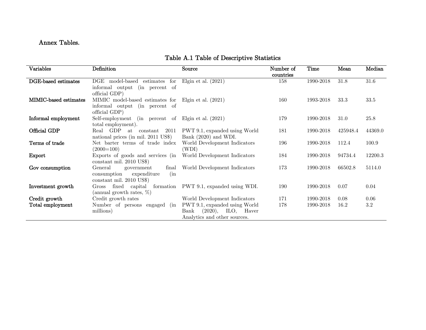# Annex Tables.

|  | Table A.1 Table of Descriptive Statistics |
|--|-------------------------------------------|
|--|-------------------------------------------|

| Variables             | Definition                                                                                                      | Source                                                                                   | Number of<br>countries | <b>Time</b> | Mean     | Median   |
|-----------------------|-----------------------------------------------------------------------------------------------------------------|------------------------------------------------------------------------------------------|------------------------|-------------|----------|----------|
| DGE-based estimates   | DGE model-based<br>estimates<br>for<br>informal output (in percent of<br>official GDP)                          | Elgin et al. $(2021)$                                                                    | 158                    | 1990-2018   | 31.8     | $31.6\,$ |
| MIMIC-based estimates | MIMIC model-based estimates for Elgin et al. (2021)<br>informal output (in percent of<br>official GDP)          |                                                                                          | 160                    | 1993-2018   | 33.3     | 33.5     |
| Informal employment   | Self-employment (in percent of Elgin et al. (2021)<br>total employment).                                        |                                                                                          | 179                    | 1990-2018   | 31.0     | 25.8     |
| Official GDP          | Real GDP at constant 2011<br>national prices (in mil. 2011 US\$)                                                | PWT 9.1, expanded using World<br>Bank $(2020)$ and WDI.                                  | 181                    | 1990-2018   | 425948.4 | 44369.0  |
| Terms of trade        | Net barter terms of trade index<br>$(2000=100)$                                                                 | World Development Indicators<br>(WDI)                                                    | 196                    | 1990-2018   | 112.4    | 100.9    |
| Export                | Exports of goods and services (in<br>constant mil. 2010 US\$)                                                   | World Development Indicators                                                             | 184                    | 1990-2018   | 94734.4  | 12200.3  |
| Gov consumption       | General<br>final<br>government<br>expenditure<br>(i <sub>n</sub> ]<br>consumption<br>$constant$ mil. 2010 US\$) | World Development Indicators                                                             | 173                    | 1990-2018   | 66502.8  | 5114.0   |
| Investment growth     | Gross fixed capital<br>(annual growth rates, $\%$ )                                                             | formation PWT 9.1, expanded using WDI.                                                   | 190                    | 1990-2018   | 0.07     | 0.04     |
| Credit growth         | Credit growth rates                                                                                             | World Development Indicators                                                             | 171                    | 1990-2018   | 0.08     | 0.06     |
| Total employment      | Number of persons engaged (in<br>millions)                                                                      | PWT 9.1, expanded using World<br>Bank (2020), ILO, Haver<br>Analytics and other sources. | 178                    | 1990-2018   | 16.2     | $3.2\,$  |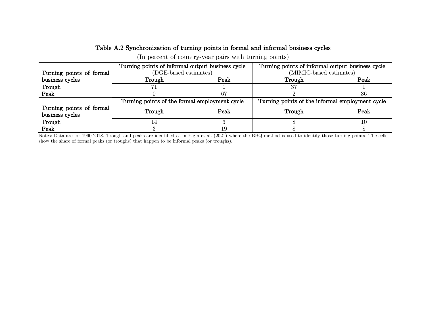#### Table A.2 Synchronization of turning points in formal and informal business cycles

(In percent of country-year pairs with turning points)

|                                             | Turning points of informal output business cycle |      | Turning points of informal output business cycle |      |  |  |  |
|---------------------------------------------|--------------------------------------------------|------|--------------------------------------------------|------|--|--|--|
| Turning points of formal                    | (DGE-based estimates)                            |      | (MIMIC-based estimates)                          |      |  |  |  |
| business cycles                             | Trough                                           | Peak | Trough                                           | Peak |  |  |  |
| Trough                                      |                                                  |      |                                                  |      |  |  |  |
| Peak                                        |                                                  |      |                                                  | 36   |  |  |  |
|                                             | Turning points of the formal employment cycle    |      | Turning points of the informal employment cycle  |      |  |  |  |
| Turning points of formal<br>business cycles | Trough                                           | Peak | Trough                                           | Peak |  |  |  |
| Trough                                      |                                                  |      |                                                  |      |  |  |  |
| Peak                                        |                                                  |      |                                                  |      |  |  |  |

Notes: Data are for 1990-2018. Trough and peaks are identified as in Elgin et al. (2021) where the BBQ method is used to identify those turning points. The cells show the share of formal peaks (or troughs) that happen to be informal peaks (or troughs).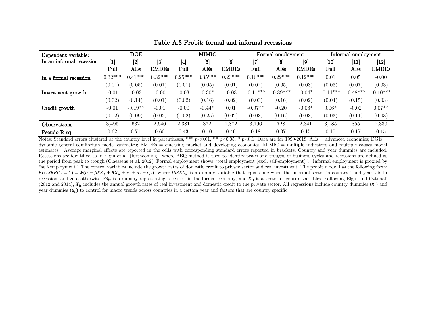| Dependent variable:      |                    | $\overline{\text{DGE}}$ |              |                  | MIMIC                                                                                                                                                           |              |                   | Formal employment                 |              | Informal employment |               |                    |
|--------------------------|--------------------|-------------------------|--------------|------------------|-----------------------------------------------------------------------------------------------------------------------------------------------------------------|--------------|-------------------|-----------------------------------|--------------|---------------------|---------------|--------------------|
| In an informal recession | $\left[ 1 \right]$ | $[2]$                   | $[3]$        | $\left[4\right]$ | $[5] % \includegraphics[width=1\textwidth]{images/TrDiM-Architecture.png} \caption{The image shows the image shows a single image.} \label{TrDiM-Architecture}$ | [6]          | $\left[ 7\right]$ | [8]                               | $[9]$        | [10]                | $\mathbf{11}$ | $\left[ 12\right]$ |
|                          | $_{\rm{Full}}$     | AEs                     | <b>EMDEs</b> | $_{\rm{Full}}$   | AEs                                                                                                                                                             | <b>EMDEs</b> | $_{\rm Full}$     | $\mathbf A\mathbf {E}\mathbf {s}$ | <b>EMDEs</b> | $_{\rm Full}$       | AEs           | <b>EMDEs</b>       |
| In a formal recession    | $0.32***$          | $0.41***$               | $0.32***$    | $0.25***$        | $0.35***$                                                                                                                                                       | $0.23***$    | $0.16***$         | $0.22***$                         | $0.12***$    | 0.01                | 0.05          | $-0.00$            |
|                          | (0.01)             | (0.05)                  | (0.01)       | (0.01)           | (0.05)                                                                                                                                                          | (0.01)       | (0.02)            | (0.05)                            | (0.03)       | (0.03)              | (0.07)        | (0.03)             |
| Investment growth        | $-0.01$            | $-0.03$                 | $-0.00$      | $-0.03$          | $-0.30*$                                                                                                                                                        | $-0.03$      | $-0.11***$        | $-0.89***$                        | $-0.04*$     | $-0.14***$          | $-0.48***$    | $-0.10***$         |
|                          | (0.02)             | (0.14)                  | (0.01)       | (0.02)           | (0.16)                                                                                                                                                          | (0.02)       | (0.03)            | (0.16)                            | (0.02)       | (0.04)              | (0.15)        | (0.03)             |
| Credit growth            | $-0.01$            | $-0.19**$               | $-0.01$      | $-0.00$          | $-0.44*$                                                                                                                                                        | 0.01         | $-0.07**$         | $-0.20$                           | $-0.06*$     | $0.06*$             | $-0.02$       | $0.07**$           |
|                          | (0.02)             | (0.09)                  | (0.02)       | (0.02)           | (0.25)                                                                                                                                                          | (0.02)       | (0.03)            | (0.16)                            | (0.03)       | (0.03)              | (0.11)        | (0.03)             |
| Observations             | 3.495              | 632                     | 2,640        | 2,381            | 372                                                                                                                                                             | 1,872        | 3,196             | 728                               | 2,341        | 3.185               | 855           | 2,330              |
| Pseudo R-sq              | 0.62               | 0.71                    | 0.60         | 0.43             | 0.40                                                                                                                                                            | 0.46         | 0.18              | 0.37                              | 0.15         | 0.17                | 0.17          | 0.15               |

Table A.3 Probit: formal and informal recessions

Notes: Standard errors clustered at the country level in parentheses, \*\*\* p<0.01, \*\* p<0.05, \* p<0.1. Data are for 1990-2018. AEs = advanced economies; DGE = dynamic general equilibrium model estimates; EMDEs = emerging market and developing economies; MIMIC = multiple indicators and multiple causes model estimates. Average marginal effects are reported in the cells with corresponding standard errors reported in brackets. Country and year dummies are included. Recessions are identified as in Elgin et al. (forthcoming), where BBQ method is used to identify peaks and troughs of business cycles and recessions are defined as the period from peak to trough (Claessens et al. 2012). Formal employment shows "total employment (excl. self-employment)". Informal employment is proxied by "self-employment". The control variables include the growth rates of domestic credit to private sector and real investment. The probit model has the following form:  $Pr(ISREC_{it} = 1) = \Phi(\alpha + \beta FS_{it} + \theta X_{it} + \pi_i + \mu_t + \epsilon_{it})$ , where ISREC<sub>it</sub> is a dummy variable that equals one when the informal sector in country i and year t is in recession, and zero otherwise.  $FS_{it}$  is a dummy representing recession in the formal economy, and  $X_{it}$  is a vector of control variables. Following Elgin and Oztunali (2012 and 2014),  $X_{it}$  includes the annual growth rates of real investment and domestic credit to the private sector. All regressions include country dummies  $(\pi_i)$  and year dummies  $(\mu_t)$  to control for macro trends across countries in a certain year and factors that are country specific.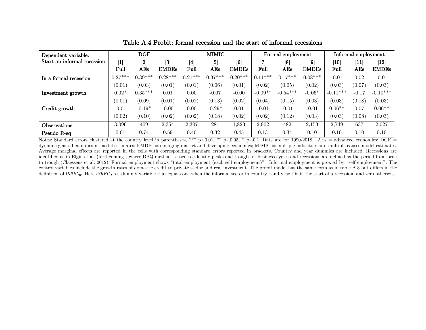| Dependent variable:         |                  | <b>DGE</b> |                                                                                                                                                                                                                                                                         |                  | MIMIC                                                                                                                                                                |                   |                   | Formal employment                 |              |            | Informal employment |              |  |
|-----------------------------|------------------|------------|-------------------------------------------------------------------------------------------------------------------------------------------------------------------------------------------------------------------------------------------------------------------------|------------------|----------------------------------------------------------------------------------------------------------------------------------------------------------------------|-------------------|-------------------|-----------------------------------|--------------|------------|---------------------|--------------|--|
| Start an informal recession | $\left[1\right]$ | $[2]$      | $[3] % \includegraphics[width=1\textwidth]{images/Trrangle1.png} \caption{The figure shows the number of parameters. The left side is the number of the two different times, and the right side is the number of the two different times, respectively.} \label{Trho2}$ | $\left[4\right]$ | $[5] % \includegraphics[width=1\textwidth]{images/TrDiM-Architecture.png} \caption{The figure shows the number of three different ways.} \label{TrDiM-Architecture}$ | $\left[ 6\right]$ | $\left[ 7\right]$ | [8]                               | $[9]$        | [10]       | $ 11\rangle$        | [12]         |  |
|                             | Full             | AEs        | <b>EMDEs</b>                                                                                                                                                                                                                                                            | $_{\rm{Full}}$   | AEs                                                                                                                                                                  | <b>EMDEs</b>      | Full              | $\mathbf A\mathbf {E}\mathbf {s}$ | <b>EMDEs</b> | Full       | AEs                 | <b>EMDEs</b> |  |
| In a formal recession       | $0.27***$        | $0.39***$  | $0.28***$                                                                                                                                                                                                                                                               | $0.21***$        | $0.37***$                                                                                                                                                            | $0.20***$         | $0.11***$         | $0.17***$                         | $0.08***$    | $-0.01$    | 0.02                | $-0.01$      |  |
|                             | (0.01)           | (0.03)     | (0.01)                                                                                                                                                                                                                                                                  | (0.01)           | (0.06)                                                                                                                                                               | (0.01)            | (0.02)            | (0.05)                            | (0.02)       | (0.03)     | (0.07)              | (0.03)       |  |
| Investment growth           | $0.02*$          | $0.35***$  | 0.01                                                                                                                                                                                                                                                                    | 0.00             | $-0.07$                                                                                                                                                              | $-0.00$           | $-0.09**$         | $-0.54***$                        | $-0.06*$     | $-0.11***$ | $-0.17$             | $-0.10***$   |  |
|                             | (0.01)           | (0.09)     | (0.01)                                                                                                                                                                                                                                                                  | (0.02)           | (0.13)                                                                                                                                                               | (0.02)            | (0.04)            | (0.15)                            | (0.03)       | (0.03)     | (0.18)              | (0.03)       |  |
| Credit growth               | $-0.01$          | $-0.19*$   | $-0.00$                                                                                                                                                                                                                                                                 | 0.00             | $-0.29*$                                                                                                                                                             | 0.01              | $-0.01$           | $-0.01$                           | $-0.01$      | $0.06**$   | 0.07                | $0.06**$     |  |
|                             | (0.02)           | (0.10)     | (0.02)                                                                                                                                                                                                                                                                  | (0.02)           | (0.18)                                                                                                                                                               | (0.02)            | (0.02)            | (0.12)                            | (0.03)       | (0.03)     | (0.08)              | (0.03)       |  |
| Observations                | 3.096            | 409        | 2,354                                                                                                                                                                                                                                                                   | 2,307            | 281                                                                                                                                                                  | 1,823             | 2,902             | 482                               | 2,153        | 2.749      | 637                 | 2,027        |  |
| Pseudo R-sq                 | 0.61             | 0.74       | 0.59                                                                                                                                                                                                                                                                    | 0.40             | 0.32                                                                                                                                                                 | 0.45              | 0.13              | 0.34                              | 0.10         | 0.10       | 0.10                | 0.10         |  |

Table A.4 Probit: formal recession and the start of informal recessions

Notes: Standard errors clustered at the country level in parentheses, \*\*\* p<0.01, \*\* p<0.05, \* p<0.1. Data are for 1990-2018. AEs = advanced economies; DGE = dynamic general equilibrium model estimates; EMDEs = emerging market and developing economies; MIMIC = multiple indicators and multiple causes model estimates. Average marginal effects are reported in the cells with corresponding standard errors reported in brackets. Country and year dummies are included. Recessions are identified as in Elgin et al. (forthcoming), where BBQ method is used to identify peaks and troughs of business cycles and recessions are defined as the period from peak to trough (Claessens et al. 2012). Formal employment shows "total employment (excl. self-employment)". Informal employment is proxied by "self-employment". The control variables include the growth rates of domestic credit to private sector and real investment. The probit model has the same form as in table A.3 but differs in the definition of  $ISREC_{it}$ . Here  $ISREC_{it}$  is a dummy variable that equals one when the informal sector in country i and year t is in the start of a recession, and zero otherwise.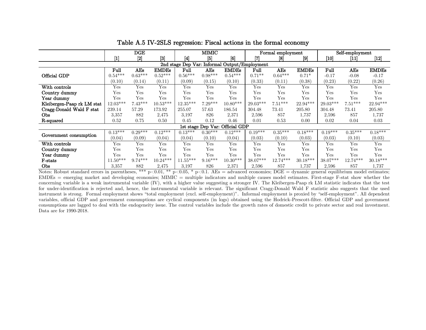|                                               | $\overline{\text{DGE}}$                                                                                                                                                             |           |                  | MIMIC             |           |                                 |            | Formal employment |                   | Self-employment |            |              |
|-----------------------------------------------|-------------------------------------------------------------------------------------------------------------------------------------------------------------------------------------|-----------|------------------|-------------------|-----------|---------------------------------|------------|-------------------|-------------------|-----------------|------------|--------------|
|                                               | $[1] % \includegraphics[width=0.9\columnwidth]{figures/fig_2b.pdf} \caption{The graph $\mathcal{N}_1$ is a function of the input and the number of input regions.} \label{fig:1d}%$ | [2]       | $\left 3\right $ | $\lceil 4 \rceil$ | 51        | $\lceil 6 \rceil$               | Γ7         | [8]               | $\lceil 9 \rceil$ | $[10]$          | [11]       | $[12]$       |
| 2nd stage Dep Var: Informal Output/Employment |                                                                                                                                                                                     |           |                  |                   |           |                                 |            |                   |                   |                 |            |              |
|                                               | Full                                                                                                                                                                                | AEs       | <b>EMDEs</b>     | Full              | AEs       | <b>EMDEs</b>                    | Full       | AEs               | <b>EMDEs</b>      | Full            | AEs        | <b>EMDEs</b> |
| Official GDP                                  | $0.54***$                                                                                                                                                                           | $0.63***$ | $0.52***$        | $0.56***$         | $0.98***$ | $0.54***$                       | $0.71**$   | $0.64***$         | $0.71*$           | $-0.17$         | $-0.08$    | $-0.17$      |
|                                               | (0.10)                                                                                                                                                                              | (0.14)    | (0.11)           | (0.09)            | (0.15)    | (0.10)                          | (0.33)     | (0.11)            | (0.38)            | (0.23)          | (0.22)     | (0.26)       |
| With controls                                 | Yes                                                                                                                                                                                 | Yes       | Yes              | Yes               | Yes       | Yes                             | Yes        | Yes               | Yes               | Yes             | Yes        | Yes          |
| Country dummy                                 | Yes                                                                                                                                                                                 | Yes       | Yes              | Yes               | Yes       | Yes                             | Yes        | Yes               | Yes               | Yes             | Yes        | Yes          |
| Year dummv                                    | Yes                                                                                                                                                                                 | Yes       | Yes              | Yes               | Yes       | Yes                             | Yes        | Yes               | Yes               | Yes             | Yes        | Yes          |
| Kleibergen-Paap rk LM stat                    | $12.03***$                                                                                                                                                                          | $7.43***$ | $10.53***$       | $12.35***$        | $7.29***$ | 10.80***                        | $29.03***$ | $7.51***$         | $22.94***$        | $29.03***$      | $7.51***$  | 22.94***     |
| Cragg-Donald Wald F stat                      | 239.14                                                                                                                                                                              | 57.29     | 173.92           | 255.07            | 57.63     | 186.54                          | 304.48     | 73.41             | 205.80            | 304.48          | 73.41      | 205.80       |
| Obs                                           | 3,357                                                                                                                                                                               | 882       | 2,475            | 3.197             | 826       | 2,371                           | 2,596      | 857               | 1,737             | 2,596           | 857        | 1,737        |
| R-squared                                     | 0.52                                                                                                                                                                                | 0.75      | 0.50             | 0.45              | 0.12      | 0.46                            | 0.01       | 0.53              | 0.00              | 0.02            | 0.04       | 0.03         |
|                                               |                                                                                                                                                                                     |           |                  |                   |           | 1st stage Dep Var: Official GDP |            |                   |                   |                 |            |              |
|                                               | $0.13***$                                                                                                                                                                           | $0.29***$ | $0.12***$        | $0.13***$         | $0.30***$ | $0.12***$                       | $0.19***$  | $0.35***$         | $0.18***$         | $0.19***$       | $0.35***$  | $0.18***$    |
| Government consumption                        | (0.04)                                                                                                                                                                              | (0.09)    | (0.04)           | (0.04)            | (0.10)    | (0.04)                          | (0.03)     | (0.10)            | (0.03)            | (0.03)          | (0.10)     | (0.03)       |
| With controls                                 | Yes                                                                                                                                                                                 | Yes       | Yes              | Yes               | Yes       | Yes                             | Yes        | Yes               | Yes               | Yes             | Yes        | Yes          |
| Country dummy                                 | Yes                                                                                                                                                                                 | Yes       | Yes              | Yes               | Yes       | Yes                             | Yes        | Yes               | Yes               | Yes             | Yes        | Yes          |
| Year dummy                                    | Yes                                                                                                                                                                                 | Yes       | Yes              | Yes               | Yes       | Yes                             | Yes        | Yes               | Yes               | Yes             | Yes        | Yes          |
| F-stats                                       | $11.50***$                                                                                                                                                                          | $9.74***$ | $10.24***$       | $11.55***$        | $9.16***$ | $10.30***$                      | 38.07***   | $12.74***$        | $30.18***$        | 38.07***        | $12.74***$ | $30.18***$   |
| Obs                                           | 3,357                                                                                                                                                                               | 882       | 2,475            | 3,197             | 826       | 2,371                           | 2,596      | 857               | 1.737             | 2,596           | 857        | 1,737        |

Table A.5 IV-2SLS regression: Fiscal actions in the formal economy

Notes: Robust standard errors in parentheses, \*\*\* p<0.01, \*\* p<0.05, \* p<0.1. AEs = advanced economies; DGE = dynamic general equilibrium model estimates;  $EMDEs$  = emerging market and developing economies; MIMIC = multiple indicators and multiple causes model estimates. First-stage F-stat show whether the concerning variable is a weak instrumental variable (IV), with a higher value suggesting a stronger IV. The Kleibergen-Paap rk LM statistic indicates that the test for under-identification is rejected and, hence, the instrumental variable is relevant. The significant Cragg-Donald Wald F statistic also suggests that the used instrument is strong. Formal employment shows "total employment (excl. self-employment)". Informal employment is proxied by "self-employment". All dependent variables, official GDP and government consumptions are cyclical components (in logs) obtained using the Hodrick-Prescott-filter. Official GDP and government consumptions are lagged to deal with the endogeneity issue. The control variables include the growth rates of domestic credit to private sector and real investment. Data are for 1990-2018.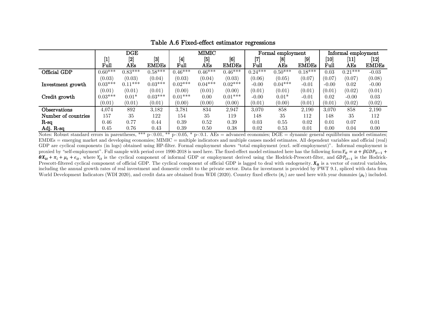|                     | $\overline{\text{DGE}}$                                                                                                                                                                   |                                   |              |                                                                                                                                                                                       | <b>MIMIC</b> |              |           | Formal employment |              | Informal employment |           |                    |  |
|---------------------|-------------------------------------------------------------------------------------------------------------------------------------------------------------------------------------------|-----------------------------------|--------------|---------------------------------------------------------------------------------------------------------------------------------------------------------------------------------------|--------------|--------------|-----------|-------------------|--------------|---------------------|-----------|--------------------|--|
|                     | $[1] % \includegraphics[width=1\textwidth]{images/TrDiM-Architecture.png} \caption{The image shows the image shows a different image with a different image.} \label{TrDiM-Architecture}$ | $[2]$                             | 3            | $[4] % \includegraphics[width=1\textwidth]{images/TrDiM-Architecture.png} \caption{The figure shows the results of the estimators in the left hand side.} \label{TrDiM-Architecture}$ | [5]          | [6]          | [7]       | [8]               | [9]          | $\left[10\right]$   | 11        | $\left[ 12\right]$ |  |
|                     | Full                                                                                                                                                                                      | $\mathbf A\mathbf {E}\mathbf {s}$ | <b>EMDEs</b> | $_{\rm{Full}}$                                                                                                                                                                        | $\rm{AEs}$   | <b>EMDEs</b> | Full      | $\rm{AEs}$        | <b>EMDEs</b> | Full                | AEs       | <b>EMDEs</b>       |  |
| Official GDP        | $0.60***$                                                                                                                                                                                 | $0.83***$                         | $0.58***$    | $0.46***$                                                                                                                                                                             | $0.46***$    | $0.46***$    | $0.24***$ | $0.50***$         | $0.18***$    | 0.03                | $0.21***$ | $-0.03$            |  |
|                     | (0.03)                                                                                                                                                                                    | (0.03)                            | (0.04)       | (0.03)                                                                                                                                                                                | (0.04)       | (0.03)       | (0.06)    | (0.05)            | (0.07)       | (0.07)              | (0.07)    | (0.08)             |  |
| Investment growth   | $0.03***$                                                                                                                                                                                 | 1 ***<br>0.1                      | $0.03***$    | $0.02***$                                                                                                                                                                             | $0.04***$    | $0.02***$    | $-0.00$   | $0.04***$         | $-0.01$      | $-0.00$             | 0.02      | $-0.00$            |  |
|                     | (0.01)                                                                                                                                                                                    | (0.01)                            | (0.01)       | (0.00)                                                                                                                                                                                | (0.01)       | (0.00)       | (0.01)    | (0.01)            | (0.01)       | (0.01)              | (0.02)    | (0.01)             |  |
| Credit growth       | $0.03***$                                                                                                                                                                                 | $0.01*$                           | $0.03***$    | $0.01***$                                                                                                                                                                             | 0.00         | $0.01***$    | $-0.00$   | $0.01*$           | $-0.01$      | 0.02                | $-0.00$   | 0.03               |  |
|                     | (0.01)                                                                                                                                                                                    | (0.01)                            | (0.01)       | (0.00)                                                                                                                                                                                | (0.00)       | (0.00)       | (0.01)    | (0.00)            | (0.01)       | (0.01)              | (0.02)    | (0.02)             |  |
| $\rm Observations$  | 4.074                                                                                                                                                                                     | 892                               | 3,182        | 3.781                                                                                                                                                                                 | 834          | 2,947        | 3.070     | 858               | 2,190        | 3,070               | 858       | 2,190              |  |
| Number of countries | 157                                                                                                                                                                                       | 35                                | 122          | 154                                                                                                                                                                                   | 35           | 119          | 148       | 35                | 112          | 148                 | 35        | 112                |  |
| $R$ -sq             | 0.46                                                                                                                                                                                      | 0.77                              | 0.44         | 0.39                                                                                                                                                                                  | 0.52         | 0.39         | 0.03      | 0.55              | 0.02         | 0.01                | 0.07      | 0.01               |  |
| Adj. R-sq           | $\rm 0.45$                                                                                                                                                                                | 0.76                              | 0.43         | 0.39                                                                                                                                                                                  | 0.50         | 0.38         | 0.02      | 0.53              | 0.01         | 0.00                | 0.04      | 0.00               |  |

Table A.6 Fixed-effect estimator regressions

Notes: Robust standard errors in parentheses, \*\*\* p<0.01, \*\* p<0.05, \* p<0.1. AEs = advanced economies; DGE = dynamic general equilibrium model estimates; EMDEs = emerging market and developing economies; MIMIC = multiple indicators and multiple causes model estimates. All dependent variables and official (real) GDP are cyclical components (in logs) obtained using HP-filter. Formal employment shows "total employment (excl. self-employment)". Informal employment is proxied by "self-employment". Full sample with period over 1990-2018 is used here. The fixed-effect model estimated here has the following form:  $Y_{it} = \alpha + \beta GDP_{it-1} + \beta GDP_{it-1}$  $\theta X_{it} + \pi_i + \mu_t + \epsilon_{it}$ , where  $Y_{it}$  is the cyclical component of informal GDP or employment derived using the Hodrick-Prescott-filter, and  $GDP_{it-1}$  is the Hodrick-Prescott-filtered cyclical component of official GDP. The cyclical component of official GDP is lagged to deal with endogeneity.  $X_{it}$  is a vector of control variables, including the annual growth rates of real investment and domestic credit to the private sector. Data for investment is provided by PWT 9.1, spliced with data from World Development Indicators (WDI 2020), and credit data are obtained from WDI (2020). Country fixed effects  $(\pi_i)$  are used here with year dummies  $(\mu_t)$  included.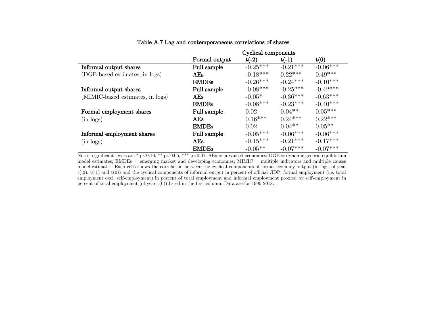|                                  | Cyclical components |            |            |            |  |  |  |  |  |
|----------------------------------|---------------------|------------|------------|------------|--|--|--|--|--|
|                                  | Formal output       | $t(-2)$    | $t(-1)$    | t(0)       |  |  |  |  |  |
| Informal output shares           | Full sample         | $-0.25***$ | $-0.21***$ | $-0.06***$ |  |  |  |  |  |
| (DGE-based estimates, in logs)   | AEs                 | $-0.18***$ | $0.22***$  | $0.49***$  |  |  |  |  |  |
|                                  | <b>EMDEs</b>        | $-0.26***$ | $-0.24***$ | $-0.10***$ |  |  |  |  |  |
| Informal output shares           | Full sample         | $-0.08***$ | $-0.25***$ | $-0.42***$ |  |  |  |  |  |
| (MIMIC-based estimates, in logs) | AEs                 | $-0.05*$   | $-0.36***$ | $-0.63***$ |  |  |  |  |  |
|                                  | <b>EMDEs</b>        | $-0.08***$ | $-0.23***$ | $-0.40***$ |  |  |  |  |  |
| Formal employment shares         | Full sample         | 0.02       | $0.04**$   | $0.05***$  |  |  |  |  |  |
| $(in \text{ logs})$              | AEs                 | $0.16***$  | $0.24***$  | $0.22***$  |  |  |  |  |  |
|                                  | <b>EMDEs</b>        | 0.02       | $0.04**$   | $0.05**$   |  |  |  |  |  |
| Informal employment shares       | Full sample         | $-0.05***$ | $-0.06***$ | $-0.06***$ |  |  |  |  |  |
| $(in \text{ logs})$              | AEs                 | $-0.15***$ | $-0.21***$ | $-0.17***$ |  |  |  |  |  |
|                                  | <b>EMDEs</b>        | $-0.05**$  | $-0.07***$ | $-0.07***$ |  |  |  |  |  |

#### Table A.7 Lag and contemporaneous correlations of shares

Notes: significant levels are \* p<0.10, \*\* p<0.05, \*\*\* p<0.01. AEs = advanced economies; DGE = dynamic general equilibrium model estimates; EMDEs = emerging market and developing economies; MIMIC = multiple indicators and multiple causes model estimates. Each cells shows the correlation between the cyclical components of formal-economy output (in logs, of year  $t(-2)$ ,  $t(-1)$  and  $t(0)$ ) and the cyclical components of informal output in percent of official GDP, formal employment (i.e. total employment excl. self-employment) in percent of total employment and informal employment proxied by self-employment in percent of total employment (of year  $t(0)$ ) listed in the first column. Data are for 1990-2018.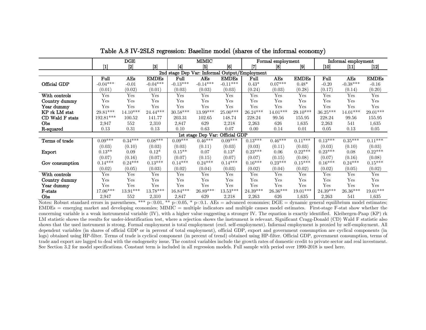|                                               |             | DGE        |              |            | <b>MIMIC</b>      |                 | Formal employment |            |                   | Informal employment |            |                                                                                                                                                     |
|-----------------------------------------------|-------------|------------|--------------|------------|-------------------|-----------------|-------------------|------------|-------------------|---------------------|------------|-----------------------------------------------------------------------------------------------------------------------------------------------------|
|                                               | $[1]$       | $[2]$      | $[3]$        | [4]        | $\left[ 5\right]$ | [6]             | l7                | [8]        | $\lceil 9 \rceil$ | [10]                | $[11]$     | $[12] % \includegraphics[width=0.9\columnwidth]{figures/fig_2.pdf} \caption{The 2D maps of the estimators in the left and right.} \label{fig:2}} %$ |
| 2nd stage Dep Var: Informal Output/Employment |             |            |              |            |                   |                 |                   |            |                   |                     |            |                                                                                                                                                     |
|                                               | Full        | AEs        | <b>EMDEs</b> | Full       | AEs               | <b>EMDEs</b>    | Full              | AEs        | <b>EMDEs</b>      | Full                | AEs        | <b>EMDEs</b>                                                                                                                                        |
| Official GDP                                  | $-0.04***$  | $-0.01$    | $-0.04***$   | $-0.13***$ | $-0.14***$        | $-0.11***$      | $0.43*$           | $0.07***$  | $0.48*$           | $-0.20$             | $-0.38***$ | $-0.16$                                                                                                                                             |
|                                               | (0.01)      | (0.02)     | (0.01)       | (0.03)     | (0.03)            | (0.03)          | (0.24)            | (0.03)     | (0.28)            | (0.17)              | (0.14)     | (0.20)                                                                                                                                              |
| With controls                                 | Yes         | Yes        | Yes          | Yes        | Yes               | Yes             | Yes               | Yes        | Yes               | Yes                 | Yes        | Yes                                                                                                                                                 |
| Country dummy                                 | Yes         | Yes        | Yes          | Yes        | Yes               | Yes             | Yes               | Yes        | Yes               | Yes                 | Yes        | Yes                                                                                                                                                 |
| Year dummy                                    | Yes         | Yes        | Yes          | Yes        | Yes               | Yes             | Yes               | Yes        | Yes               | Yes                 | Yes        | Yes                                                                                                                                                 |
| KP rk LM stat                                 | $29.81***$  | $14.10***$ | $24.44***$   | $30.58***$ | 13.99***          | $25.00^{***}\,$ | $26.24***$        | $14.01***$ | 29.10***          | $36.25***$          | $14.01***$ | 29.01***                                                                                                                                            |
| CD Wald F stats                               | $192.81***$ | 100.52     | 141.77       | 203.31     | 102.65            | 148.74          | 228.24            | 99.56      | 155.95            | 228.24              | 99.56      | 155.95                                                                                                                                              |
| Obs                                           | 2,947       | 552        | 2,310        | 2,847      | 629               | 2,218           | 2,263             | 626        | 1,635             | 2,263               | 541        | 1,635                                                                                                                                               |
| R-squared                                     | 0.13        | 0.31       | 0.13         | 0.10       | 0.63              | 0.07            | 0.00              | 0.14       | 0.01              | 0.05                | 0.13       | 0.05                                                                                                                                                |
| 1st stage Dep Var: Official GDP               |             |            |              |            |                   |                 |                   |            |                   |                     |            |                                                                                                                                                     |
| Terms of trade                                | $0.09***$   | $0.34***$  | $0.08***$    | $0.09***$  | $0.46***$         | $0.09***$       | $0.13***$         | $0.46***$  | $0.11***$         | $0.13***$           | $0.35***$  | $0.11***$                                                                                                                                           |
|                                               | (0.03)      | (0.10)     | (0.03)       | (0.03)     | (0.11)            | (0.03)          | (0.03)            | (0.11)     | (0.03)            | (0.03)              | (0.10)     | (0.03)                                                                                                                                              |
| Export                                        | $0.13**$    | 0.09       | $0.12*$      | $0.15***$  | 0.07              | $0.13*$         | $0.23***$         | 0.06       | $0.22***$         | $0.23***$           | 0.08       | $0.22***$                                                                                                                                           |
|                                               | (0.07)      | (0.16)     | (0.07)       | (0.07)     | (0.15)            | (0.07)          | (0.07)            | (0.15)     | (0.08)            | (0.07)              | (0.16)     | (0.08)                                                                                                                                              |
| Gov consumption                               | $0.14***$   | $0.24***$  | $0.13***$    | $0.14***$  | $0.24***$         | $0.14***$       | $0.16***$         | $0.23***$  | $0.15***$         | $0.16***$           | $0.24***$  | $0.15***$                                                                                                                                           |
|                                               | (0.02)      | (0.05)     | (0.03)       | (0.02)     | (0.04)            | (0.03)          | (0.02)            | (0.04)     | (0.02)            | (0.02)              | (0.05)     | (0.02)                                                                                                                                              |
| With controls                                 | Yes         | Yes        | Yes          | Yes        | Yes               | Yes             | Yes               | Yes        | Yes               | Yes                 | Yes        | Yes                                                                                                                                                 |
| Country dummy                                 | Yes         | Yes        | Yes          | Yes        | Yes               | Yes             | Yes               | Yes        | Yes               | Yes                 | Yes        | Yes                                                                                                                                                 |
| Year dummy                                    | Yes         | Yes        | Yes          | Yes        | Yes               | Yes             | Yes               | Yes        | Yes               | Yes                 | Yes        | Yes                                                                                                                                                 |
| F-stats                                       | $17.06***$  | 13.91***   | 13.78***     | $16.84***$ | 26.89***          | $13.53***$      | $24.39***$        | $26.36***$ | 19.01***          | $24.39***$          | 26.36***   | $19.01***$                                                                                                                                          |
| Obs                                           | 2,947       | 552        | 2,310        | 2,847      | 629               | 2,218           | 2,263             | 626        | 1,635             | 2,263               | 541        | 1,635                                                                                                                                               |

Table A.8 IV-2SLS regression: Baseline model (shares of the informal economy)

Notes: Robust standard errors in parentheses, \*\*\* p<0.01, \*\* p<0.05, \* p<0.1. AEs = advanced economies; DGE = dynamic general equilibrium model estimates;  $EMDEs$  = emerging market and developing economies; MIMIC = multiple indicators and multiple causes model estimates. First-stage F-stat show whether the concerning variable is a weak instrumental variable (IV), with a higher value suggesting a stronger IV. The equation is exactly identified. Kleibergen-Paap (KP) rk LM statistic shows the results for under-identification test, where a rejection shows the instrument is relevant. Significant Cragg-Donald (CD) Wald F statistic also shows that the used instrument is strong. Formal employment is total employment (excl. self-employment). Informal employment is proxied by self-employment. All dependent variables (in shares of official GDP or in percent of total employment), official GDP, export and government consumption are cyclical components (in logs) obtained using HP-filter. Terms of trade is cyclical component (in percent of trend) obtained using HP-filter. Official GDP, government consumption, terms of trade and export are lagged to deal with the endogeneity issue. The control variables include the growth rates of domestic credit to private sector and real investment. See Section 3.2 for model specifications. Constant term is included in all regression models. Full sample with period over 1990-2018 is used here.